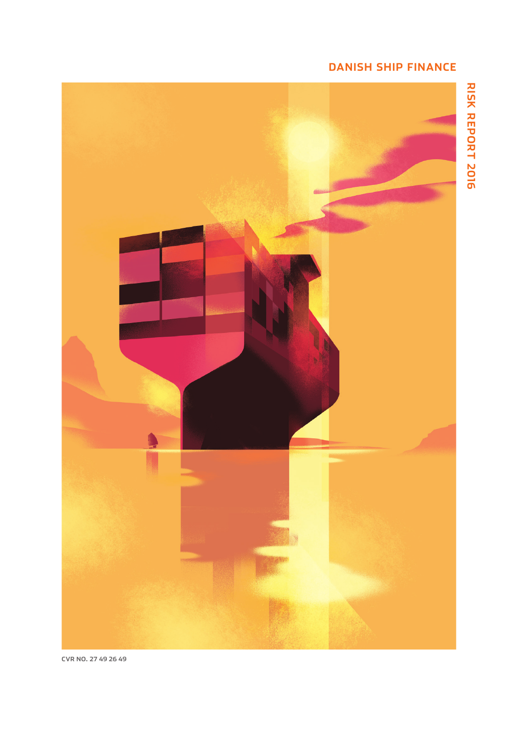# **DANISH SHIP FINANCE**

**RISK REPORT 2016**



**CVR NO. 27 49 26 49**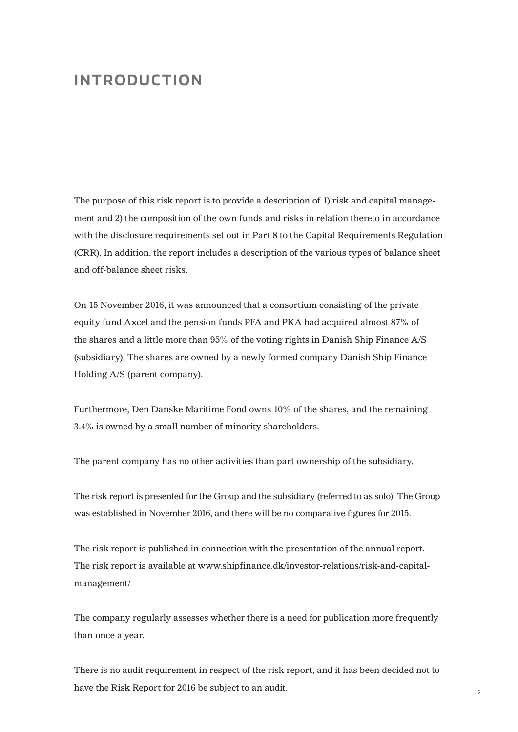# **INTRODUCTION**

The purpose of this risk report is to provide a description of 1) risk and capital management and 2) the composition of the own funds and risks in relation thereto in accordance with the disclosure requirements set out in Part 8 to the Capital Requirements Regulation (CRR). In addition, the report includes a description of the various types of balance sheet and off-balance sheet risks.

On 15 November 2016, it was announced that a consortium consisting of the private equity fund Axcel and the pension funds PFA and PKA had acquired almost 87% of the shares and a little more than 95% of the voting rights in Danish Ship Finance A/S (subsidiary). The shares are owned by a newly formed company Danish Ship Finance Holding A/S (parent company).

Furthermore, Den Danske Maritime Fond owns 10% of the shares, and the remaining 3.4% is owned by a small number of minority shareholders.

The parent company has no other activities than part ownership of the subsidiary.

The risk report is presented for the Group and the subsidiary (referred to as solo). The Group was established in November 2016, and there will be no comparative figures for 2015.

The risk report is published in connection with the presentation of the annual report. The risk report is available at www.shipfinance.dk/investor-relations/risk-and-capitalmanagement/

The company regularly assesses whether there is a need for publication more frequently than once a year.

There is no audit requirement in respect of the risk report, and it has been decided not to have the Risk Report for 2016 be subject to an audit.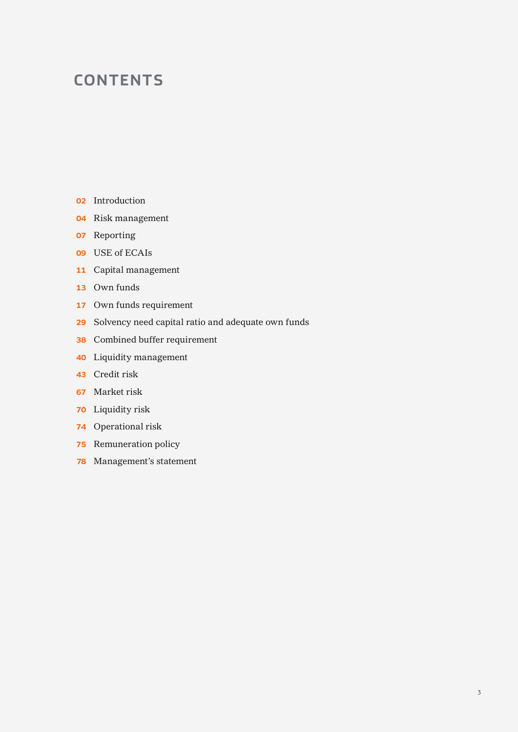# **CONTENTS**

- Introduction
- Risk management
- Reporting
- USE of ECAIs
- Capital management
- Own funds
- Own funds requirement
- Solvency need capital ratio and adequate own funds
- Combined buffer requirement
- Liquidity management
- Credit risk
- Market risk
- Liquidity risk
- Operational risk
- Remuneration policy
- Management's statement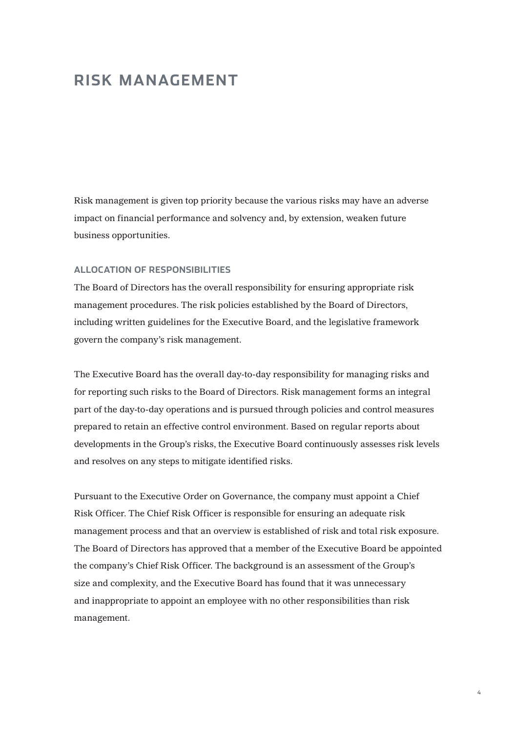# **RISK MANAGEMENT**

Risk management is given top priority because the various risks may have an adverse impact on financial performance and solvency and, by extension, weaken future business opportunities.

### **ALLOCATION OF RESPONSIBILITIES**

The Board of Directors has the overall responsibility for ensuring appropriate risk management procedures. The risk policies established by the Board of Directors, including written guidelines for the Executive Board, and the legislative framework govern the company's risk management.

The Executive Board has the overall day-to-day responsibility for managing risks and for reporting such risks to the Board of Directors. Risk management forms an integral part of the day-to-day operations and is pursued through policies and control measures prepared to retain an effective control environment. Based on regular reports about developments in the Group's risks, the Executive Board continuously assesses risk levels and resolves on any steps to mitigate identified risks.

Pursuant to the Executive Order on Governance, the company must appoint a Chief Risk Officer. The Chief Risk Officer is responsible for ensuring an adequate risk management process and that an overview is established of risk and total risk exposure. The Board of Directors has approved that a member of the Executive Board be appointed the company's Chief Risk Officer. The background is an assessment of the Group's size and complexity, and the Executive Board has found that it was unnecessary and inappropriate to appoint an employee with no other responsibilities than risk management.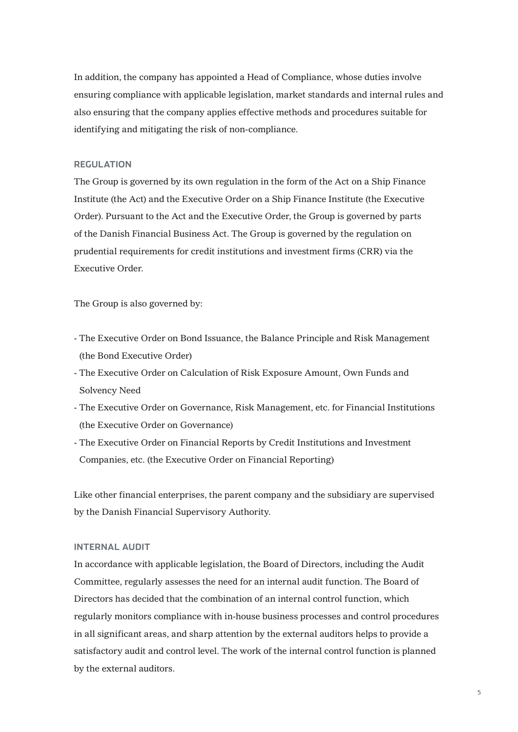In addition, the company has appointed a Head of Compliance, whose duties involve ensuring compliance with applicable legislation, market standards and internal rules and also ensuring that the company applies effective methods and procedures suitable for identifying and mitigating the risk of non-compliance.

### **REGULATION**

The Group is governed by its own regulation in the form of the Act on a Ship Finance Institute (the Act) and the Executive Order on a Ship Finance Institute (the Executive Order). Pursuant to the Act and the Executive Order, the Group is governed by parts of the Danish Financial Business Act. The Group is governed by the regulation on prudential requirements for credit institutions and investment firms (CRR) via the Executive Order.

The Group is also governed by:

- The Executive Order on Bond Issuance, the Balance Principle and Risk Management (the Bond Executive Order)
- The Executive Order on Calculation of Risk Exposure Amount, Own Funds and Solvency Need
- The Executive Order on Governance, Risk Management, etc. for Financial Institutions (the Executive Order on Governance)
- The Executive Order on Financial Reports by Credit Institutions and Investment Companies, etc. (the Executive Order on Financial Reporting)

Like other financial enterprises, the parent company and the subsidiary are supervised by the Danish Financial Supervisory Authority.

### **INTERNAL AUDIT**

In accordance with applicable legislation, the Board of Directors, including the Audit Committee, regularly assesses the need for an internal audit function. The Board of Directors has decided that the combination of an internal control function, which regularly monitors compliance with in-house business processes and control procedures in all significant areas, and sharp attention by the external auditors helps to provide a satisfactory audit and control level. The work of the internal control function is planned by the external auditors.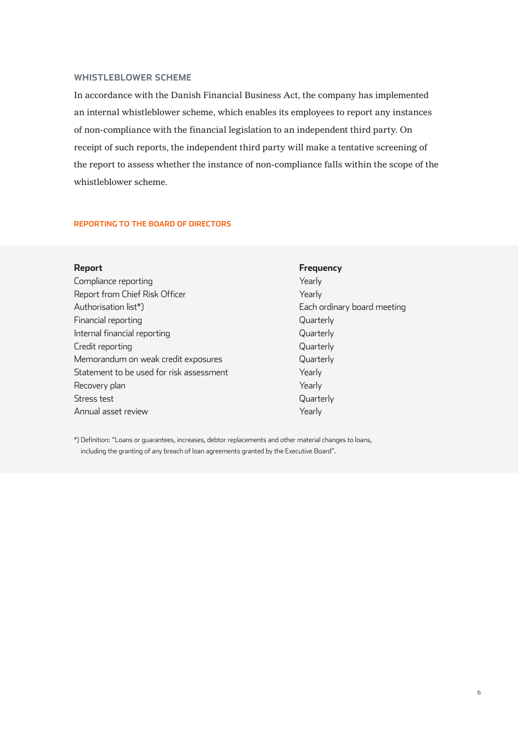### **WHISTLEBLOWER SCHEME**

In accordance with the Danish Financial Business Act, the company has implemented an internal whistleblower scheme, which enables its employees to report any instances of non-compliance with the financial legislation to an independent third party. On receipt of such reports, the independent third party will make a tentative screening of the report to assess whether the instance of non-compliance falls within the scope of the whistleblower scheme.

### **REPORTING TO THE BOARD OF DIRECTORS**

Compliance reporting The Compliance reporting The Compliance of the Vearly Report from Chief Risk Officer The Team of Tearly Authorisation list\*) Each ordinary board meeting Financial reporting and the contract of the contract of the Cuarterly Internal financial reporting and the control of the Quarterly Credit reporting and the contract of the contract of the Counterly Quarterly Memorandum on weak credit exposures and a second quarterly Statement to be used for risk assessment Vearly Recovery plan Yearly North Communications and the Vearly Stress test **Guarterly** Annual asset review The Communication of the Yearly

# **Report Frequency**

\*) Definition: "Loans or guarantees, increases, debtor replacements and other material changes to loans, including the granting of any breach of loan agreements granted by the Executive Board".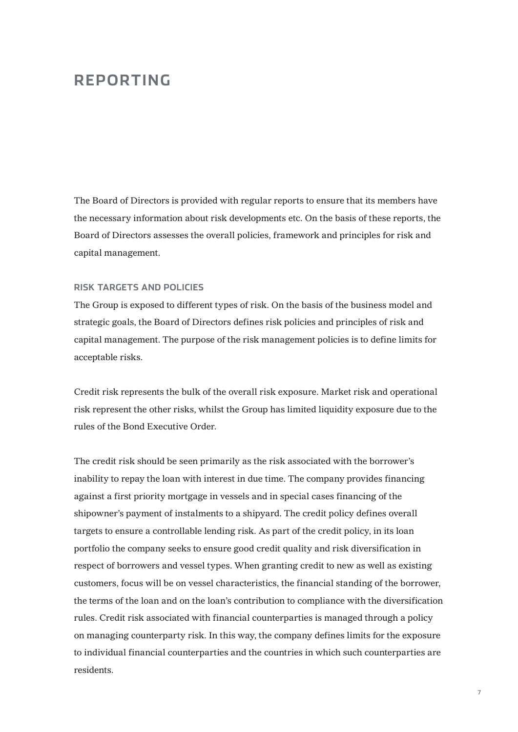# **REPORTING**

The Board of Directors is provided with regular reports to ensure that its members have the necessary information about risk developments etc. On the basis of these reports, the Board of Directors assesses the overall policies, framework and principles for risk and capital management.

### **RISK TARGETS AND POLICIES**

The Group is exposed to different types of risk. On the basis of the business model and strategic goals, the Board of Directors defines risk policies and principles of risk and capital management. The purpose of the risk management policies is to define limits for acceptable risks.

Credit risk represents the bulk of the overall risk exposure. Market risk and operational risk represent the other risks, whilst the Group has limited liquidity exposure due to the rules of the Bond Executive Order.

The credit risk should be seen primarily as the risk associated with the borrower's inability to repay the loan with interest in due time. The company provides financing against a first priority mortgage in vessels and in special cases financing of the shipowner's payment of instalments to a shipyard. The credit policy defines overall targets to ensure a controllable lending risk. As part of the credit policy, in its loan portfolio the company seeks to ensure good credit quality and risk diversification in respect of borrowers and vessel types. When granting credit to new as well as existing customers, focus will be on vessel characteristics, the financial standing of the borrower, the terms of the loan and on the loan's contribution to compliance with the diversification rules. Credit risk associated with financial counterparties is managed through a policy on managing counterparty risk. In this way, the company defines limits for the exposure to individual financial counterparties and the countries in which such counterparties are residents.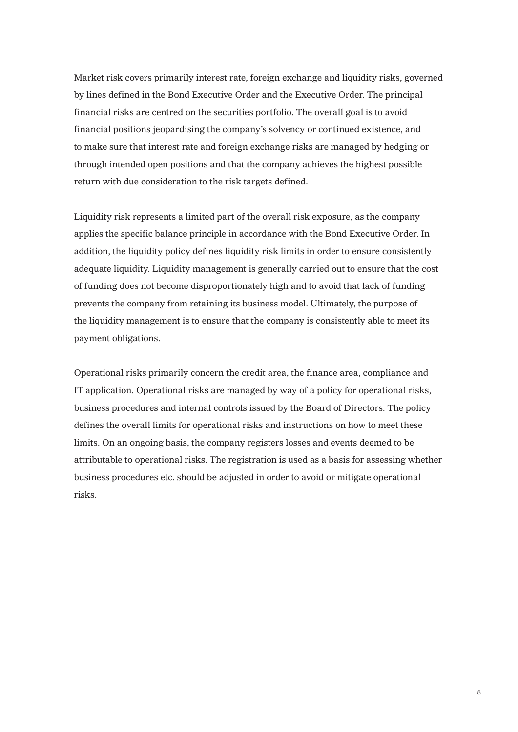Market risk covers primarily interest rate, foreign exchange and liquidity risks, governed by lines defined in the Bond Executive Order and the Executive Order. The principal financial risks are centred on the securities portfolio. The overall goal is to avoid financial positions jeopardising the company's solvency or continued existence, and to make sure that interest rate and foreign exchange risks are managed by hedging or through intended open positions and that the company achieves the highest possible return with due consideration to the risk targets defined.

Liquidity risk represents a limited part of the overall risk exposure, as the company applies the specific balance principle in accordance with the Bond Executive Order. In addition, the liquidity policy defines liquidity risk limits in order to ensure consistently adequate liquidity. Liquidity management is generally carried out to ensure that the cost of funding does not become disproportionately high and to avoid that lack of funding prevents the company from retaining its business model. Ultimately, the purpose of the liquidity management is to ensure that the company is consistently able to meet its payment obligations.

Operational risks primarily concern the credit area, the finance area, compliance and IT application. Operational risks are managed by way of a policy for operational risks, business procedures and internal controls issued by the Board of Directors. The policy defines the overall limits for operational risks and instructions on how to meet these limits. On an ongoing basis, the company registers losses and events deemed to be attributable to operational risks. The registration is used as a basis for assessing whether business procedures etc. should be adjusted in order to avoid or mitigate operational risks.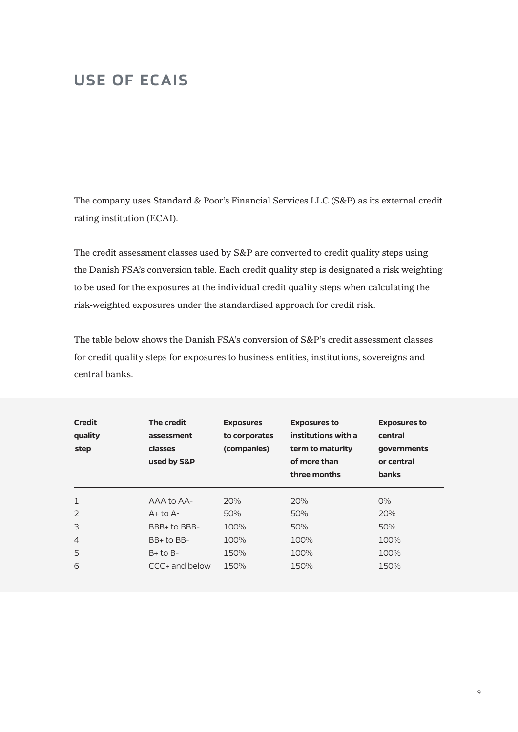# **USE OF ECAIS**

The company uses Standard & Poor's Financial Services LLC (S&P) as its external credit rating institution (ECAI).

The credit assessment classes used by S&P are converted to credit quality steps using the Danish FSA's conversion table. Each credit quality step is designated a risk weighting to be used for the exposures at the individual credit quality steps when calculating the risk-weighted exposures under the standardised approach for credit risk.

The table below shows the Danish FSA's conversion of S&P's credit assessment classes for credit quality steps for exposures to business entities, institutions, sovereigns and central banks.

| <b>Credit</b><br>quality<br>step | The credit<br>assessment<br>classes<br>used by S&P | <b>Exposures</b><br>to corporates<br>(companies) | <b>Exposures to</b><br>institutions with a<br>term to maturity<br>of more than<br>three months | <b>Exposures to</b><br>central<br>governments<br>or central<br><b>banks</b> |
|----------------------------------|----------------------------------------------------|--------------------------------------------------|------------------------------------------------------------------------------------------------|-----------------------------------------------------------------------------|
| 1                                | AAA to AA-                                         | 20%                                              | 20%                                                                                            | $O\%$                                                                       |
| $\mathcal{P}$                    | $A+$ to $A-$                                       | 50%                                              | 50%                                                                                            | 20%                                                                         |
| 3                                | BBB+ to BBB-                                       | 100%                                             | 50%                                                                                            | 50%                                                                         |
| $\overline{4}$                   | $BB+$ to $BB-$                                     | 100%                                             | 100%                                                                                           | 100%                                                                        |
| 5                                | $B+$ to $B-$                                       | 150%                                             | 100%                                                                                           | 100%                                                                        |
| 6                                | $CCC+$ and below                                   | 150%                                             | 150%                                                                                           | 150%                                                                        |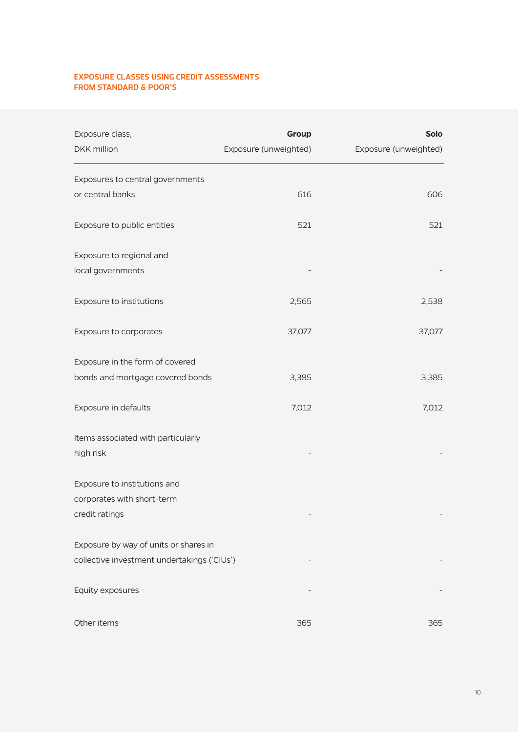### **EXPOSURE CLASSES USING CREDIT ASSESSMENTS FROM STANDARD & POOR'S**

| Exposure class,<br>DKK million              | Group<br>Exposure (unweighted) | <b>Solo</b><br>Exposure (unweighted) |
|---------------------------------------------|--------------------------------|--------------------------------------|
| Exposures to central governments            |                                |                                      |
| or central banks                            | 616                            | 606                                  |
| Exposure to public entities                 | 521                            | 521                                  |
| Exposure to regional and                    |                                |                                      |
| local governments                           |                                |                                      |
| Exposure to institutions                    | 2,565                          | 2,538                                |
| Exposure to corporates                      | 37,077                         | 37,077                               |
| Exposure in the form of covered             |                                |                                      |
| bonds and mortgage covered bonds            | 3,385                          | 3,385                                |
| Exposure in defaults                        | 7,012                          | 7,012                                |
| Items associated with particularly          |                                |                                      |
| high risk                                   |                                |                                      |
| Exposure to institutions and                |                                |                                      |
| corporates with short-term                  |                                |                                      |
| credit ratings                              |                                |                                      |
| Exposure by way of units or shares in       |                                |                                      |
| collective investment undertakings ('CIUs') |                                |                                      |
| Equity exposures                            |                                |                                      |
| Other items                                 | 365                            | 365                                  |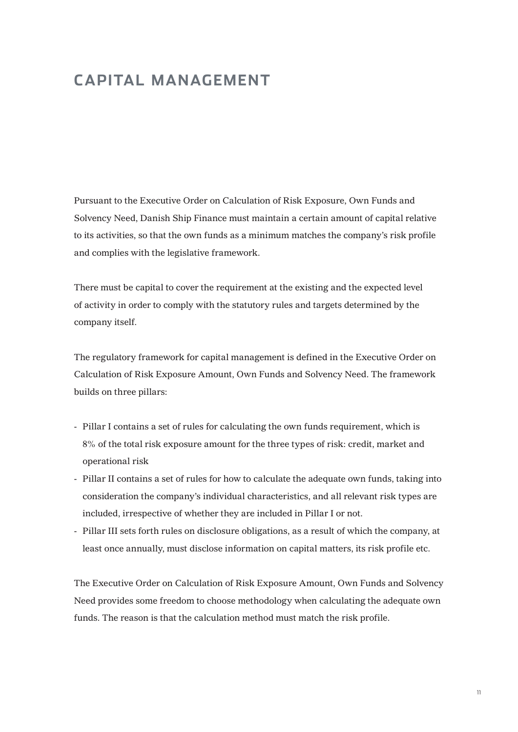# **CAPITAL MANAGEMENT**

Pursuant to the Executive Order on Calculation of Risk Exposure, Own Funds and Solvency Need, Danish Ship Finance must maintain a certain amount of capital relative to its activities, so that the own funds as a minimum matches the company's risk profile and complies with the legislative framework.

There must be capital to cover the requirement at the existing and the expected level of activity in order to comply with the statutory rules and targets determined by the company itself.

The regulatory framework for capital management is defined in the Executive Order on Calculation of Risk Exposure Amount, Own Funds and Solvency Need. The framework builds on three pillars:

- Pillar I contains a set of rules for calculating the own funds requirement, which is 8% of the total risk exposure amount for the three types of risk: credit, market and operational risk
- Pillar II contains a set of rules for how to calculate the adequate own funds, taking into consideration the company's individual characteristics, and all relevant risk types are included, irrespective of whether they are included in Pillar I or not.
- Pillar III sets forth rules on disclosure obligations, as a result of which the company, at least once annually, must disclose information on capital matters, its risk profile etc.

The Executive Order on Calculation of Risk Exposure Amount, Own Funds and Solvency Need provides some freedom to choose methodology when calculating the adequate own funds. The reason is that the calculation method must match the risk profile.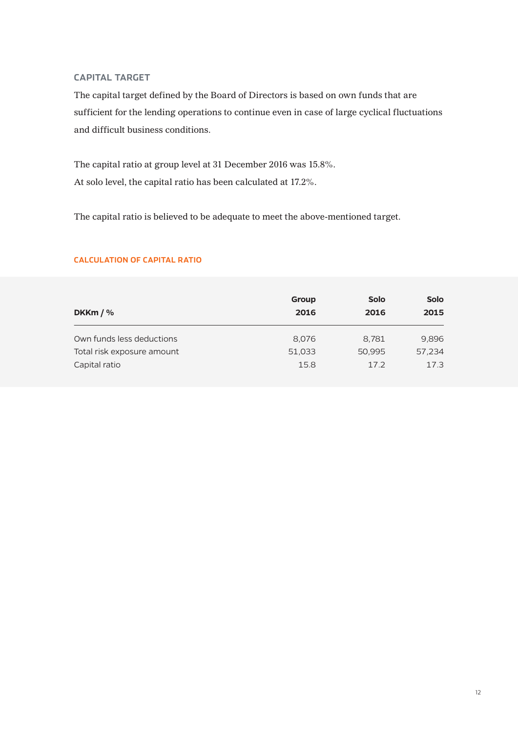### **CAPITAL TARGET**

The capital target defined by the Board of Directors is based on own funds that are sufficient for the lending operations to continue even in case of large cyclical fluctuations and difficult business conditions.

The capital ratio at group level at 31 December 2016 was 15.8%. At solo level, the capital ratio has been calculated at 17.2%.

The capital ratio is believed to be adequate to meet the above-mentioned target.

| DKKm $/$ %                 | Group<br>2016 | <b>Solo</b><br>2016 | <b>Solo</b><br>2015 |
|----------------------------|---------------|---------------------|---------------------|
| Own funds less deductions  | 8,076         | 8,781               | 9,896               |
| Total risk exposure amount | 51,033        | 50,995              | 57,234              |
| Capital ratio              | 15.8          | 17.2                | 17.3                |

### **CALCULATION OF CAPITAL RATIO**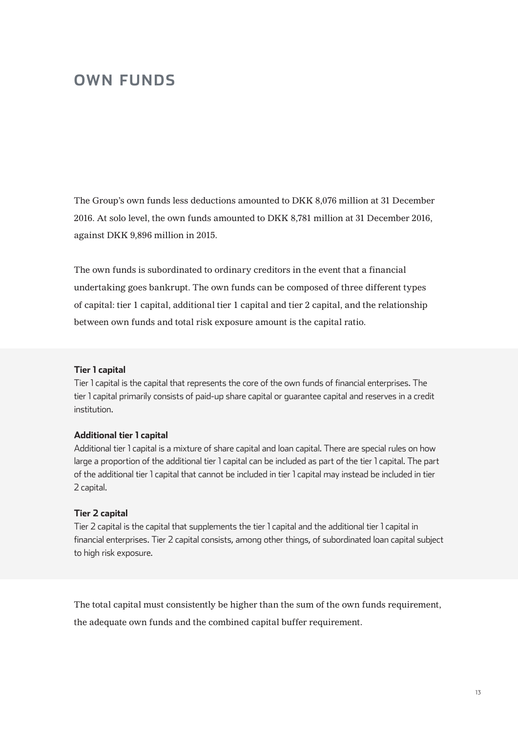# **OWN FUNDS**

The Group's own funds less deductions amounted to DKK 8,076 million at 31 December 2016. At solo level, the own funds amounted to DKK 8,781 million at 31 December 2016, against DKK 9,896 million in 2015.

The own funds is subordinated to ordinary creditors in the event that a financial undertaking goes bankrupt. The own funds can be composed of three different types of capital: tier 1 capital, additional tier 1 capital and tier 2 capital, and the relationship between own funds and total risk exposure amount is the capital ratio.

### **Tier 1 capital**

Tier 1 capital is the capital that represents the core of the own funds of financial enterprises. The tier 1 capital primarily consists of paid-up share capital or guarantee capital and reserves in a credit institution.

### **Additional tier 1 capital**

Additional tier 1 capital is a mixture of share capital and loan capital. There are special rules on how large a proportion of the additional tier 1 capital can be included as part of the tier 1 capital. The part of the additional tier 1 capital that cannot be included in tier 1 capital may instead be included in tier 2 capital.

### **Tier 2 capital**

Tier 2 capital is the capital that supplements the tier 1 capital and the additional tier 1 capital in financial enterprises. Tier 2 capital consists, among other things, of subordinated loan capital subject to high risk exposure.

The total capital must consistently be higher than the sum of the own funds requirement, the adequate own funds and the combined capital buffer requirement.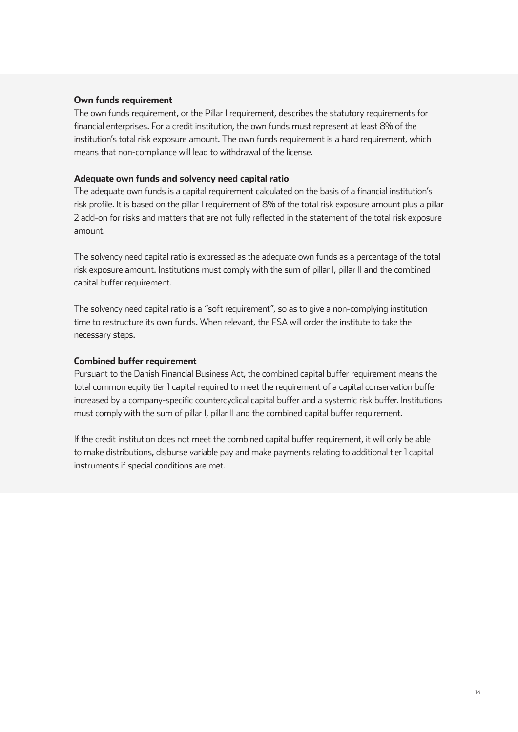### **Own funds requirement**

The own funds requirement, or the Pillar I requirement, describes the statutory requirements for financial enterprises. For a credit institution, the own funds must represent at least 8% of the institution's total risk exposure amount. The own funds requirement is a hard requirement, which means that non-compliance will lead to withdrawal of the license.

### **Adequate own funds and solvency need capital ratio**

The adequate own funds is a capital requirement calculated on the basis of a financial institution's risk profile. It is based on the pillar I requirement of 8% of the total risk exposure amount plus a pillar 2 add-on for risks and matters that are not fully reflected in the statement of the total risk exposure amount.

The solvency need capital ratio is expressed as the adequate own funds as a percentage of the total risk exposure amount. Institutions must comply with the sum of pillar I, pillar II and the combined capital buffer requirement.

The solvency need capital ratio is a "soft requirement", so as to give a non-complying institution time to restructure its own funds. When relevant, the FSA will order the institute to take the necessary steps.

### **Combined buffer requirement**

Pursuant to the Danish Financial Business Act, the combined capital buffer requirement means the total common equity tier 1 capital required to meet the requirement of a capital conservation buffer increased by a company-specific countercyclical capital buffer and a systemic risk buffer. Institutions must comply with the sum of pillar I, pillar II and the combined capital buffer requirement.

If the credit institution does not meet the combined capital buffer requirement, it will only be able to make distributions, disburse variable pay and make payments relating to additional tier 1 capital instruments if special conditions are met.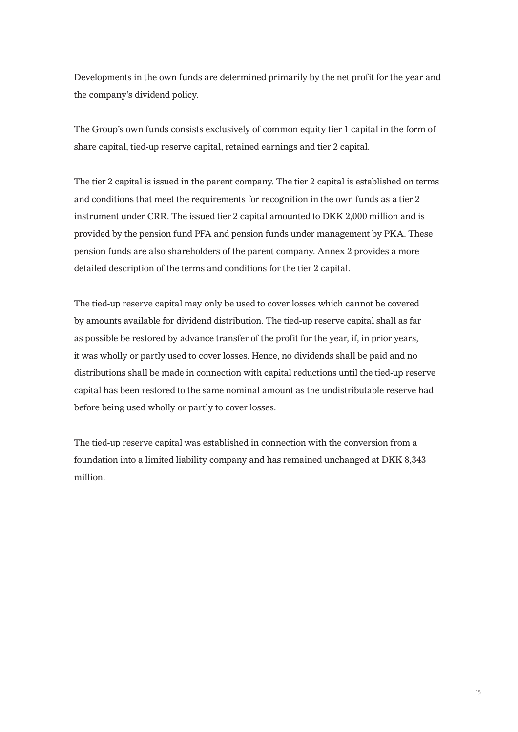Developments in the own funds are determined primarily by the net profit for the year and the company's dividend policy.

The Group's own funds consists exclusively of common equity tier 1 capital in the form of share capital, tied-up reserve capital, retained earnings and tier 2 capital.

The tier 2 capital is issued in the parent company. The tier 2 capital is established on terms and conditions that meet the requirements for recognition in the own funds as a tier 2 instrument under CRR. The issued tier 2 capital amounted to DKK 2,000 million and is provided by the pension fund PFA and pension funds under management by PKA. These pension funds are also shareholders of the parent company. Annex 2 provides a more detailed description of the terms and conditions for the tier 2 capital.

The tied-up reserve capital may only be used to cover losses which cannot be covered by amounts available for dividend distribution. The tied-up reserve capital shall as far as possible be restored by advance transfer of the profit for the year, if, in prior years, it was wholly or partly used to cover losses. Hence, no dividends shall be paid and no distributions shall be made in connection with capital reductions until the tied-up reserve capital has been restored to the same nominal amount as the undistributable reserve had before being used wholly or partly to cover losses.

The tied-up reserve capital was established in connection with the conversion from a foundation into a limited liability company and has remained unchanged at DKK 8,343 million.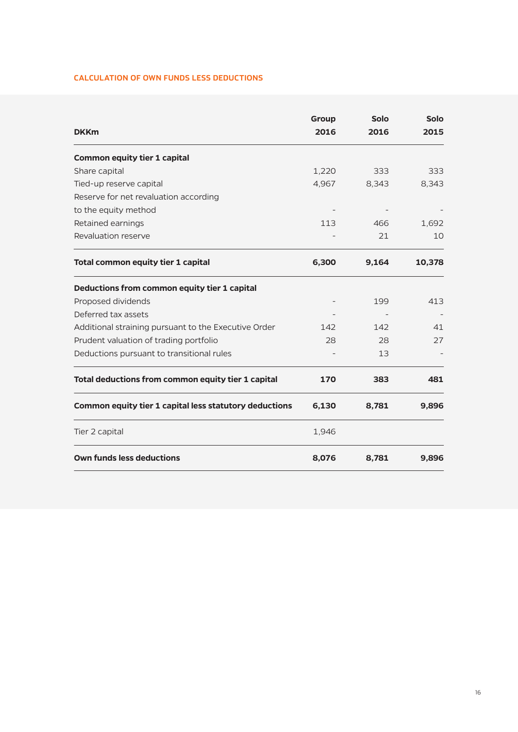### **CALCULATION OF OWN FUNDS LESS DEDUCTIONS**

| <b>DKKm</b>                                            | <b>Group</b><br>2016 | Solo<br>2016 | <b>Solo</b><br>2015 |
|--------------------------------------------------------|----------------------|--------------|---------------------|
| <b>Common equity tier 1 capital</b>                    |                      |              |                     |
| Share capital                                          | 1,220                | 333          | 333                 |
| Tied-up reserve capital                                | 4,967                | 8,343        | 8,343               |
| Reserve for net revaluation according                  |                      |              |                     |
| to the equity method                                   |                      |              |                     |
| Retained earnings                                      | 113                  | 466          | 1,692               |
| Revaluation reserve                                    |                      | 21           | 10                  |
| Total common equity tier 1 capital                     | 6,300                | 9,164        | 10,378              |
| Deductions from common equity tier 1 capital           |                      |              |                     |
| Proposed dividends                                     |                      | 199          | 413                 |
| Deferred tax assets                                    |                      |              |                     |
| Additional straining pursuant to the Executive Order   | 142                  | 142          | 41                  |
| Prudent valuation of trading portfolio                 | 28                   | 28           | 27                  |
| Deductions pursuant to transitional rules              |                      | 13           |                     |
| Total deductions from common equity tier 1 capital     | 170                  | 383          | 481                 |
| Common equity tier 1 capital less statutory deductions | 6,130                | 8,781        | 9,896               |
| Tier 2 capital                                         | 1,946                |              |                     |
| <b>Own funds less deductions</b>                       | 8,076                | 8,781        | 9,896               |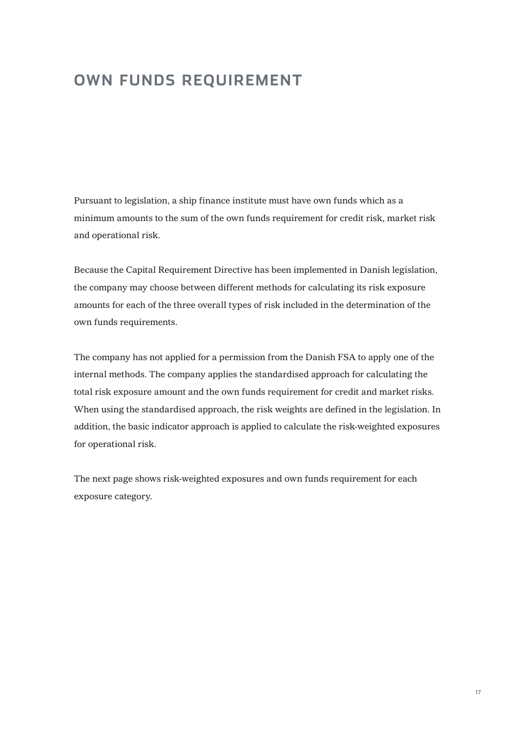# **OWN FUNDS REQUIREMENT**

Pursuant to legislation, a ship finance institute must have own funds which as a minimum amounts to the sum of the own funds requirement for credit risk, market risk and operational risk.

Because the Capital Requirement Directive has been implemented in Danish legislation, the company may choose between different methods for calculating its risk exposure amounts for each of the three overall types of risk included in the determination of the own funds requirements.

The company has not applied for a permission from the Danish FSA to apply one of the internal methods. The company applies the standardised approach for calculating the total risk exposure amount and the own funds requirement for credit and market risks. When using the standardised approach, the risk weights are defined in the legislation. In addition, the basic indicator approach is applied to calculate the risk-weighted exposures for operational risk.

The next page shows risk-weighted exposures and own funds requirement for each exposure category.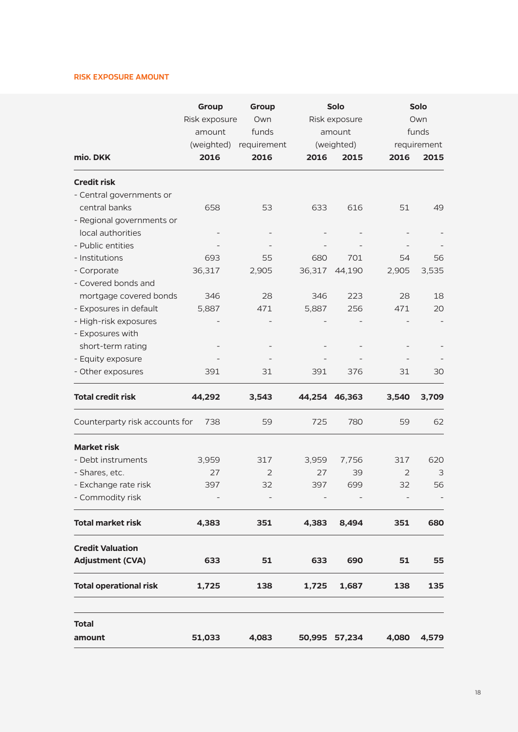### **RISK EXPOSURE AMOUNT**

|                                | Group<br>Risk exposure<br>amount | Group<br>Own<br>funds |        | <b>Solo</b><br>Risk exposure<br>amount | <b>Solo</b><br>Own<br>funds |                     |
|--------------------------------|----------------------------------|-----------------------|--------|----------------------------------------|-----------------------------|---------------------|
| mio. DKK                       | (weighted)<br>2016               | requirement<br>2016   | 2016   | (weighted)<br>2015                     | 2016                        | requirement<br>2015 |
| <b>Credit risk</b>             |                                  |                       |        |                                        |                             |                     |
| - Central governments or       |                                  |                       |        |                                        |                             |                     |
| central banks                  | 658                              | 53                    | 633    | 616                                    | 51                          | 49                  |
| - Regional governments or      |                                  |                       |        |                                        |                             |                     |
| local authorities              |                                  |                       |        |                                        |                             |                     |
| - Public entities              |                                  |                       |        |                                        |                             |                     |
| - Institutions                 | 693                              | 55                    | 680    | 701                                    | 54                          | 56                  |
| - Corporate                    | 36,317                           | 2,905                 | 36,317 | 44,190                                 | 2,905                       | 3,535               |
| - Covered bonds and            |                                  |                       |        |                                        |                             |                     |
| mortgage covered bonds         | 346                              | 28                    | 346    | 223                                    | 28                          | 18                  |
| - Exposures in default         | 5,887                            | 471                   | 5,887  | 256                                    | 471                         | 20                  |
| - High-risk exposures          |                                  |                       |        |                                        |                             |                     |
| - Exposures with               |                                  |                       |        |                                        |                             |                     |
| short-term rating              |                                  |                       |        |                                        |                             |                     |
| - Equity exposure              |                                  |                       |        |                                        |                             |                     |
| - Other exposures              | 391                              | 31                    | 391    | 376                                    | 31                          | 30                  |
| <b>Total credit risk</b>       | 44,292                           | 3,543                 |        | 44,254 46,363                          | 3,540                       | 3,709               |
| Counterparty risk accounts for | 738                              | 59                    | 725    | 780                                    | 59                          | 62                  |
| <b>Market risk</b>             |                                  |                       |        |                                        |                             |                     |
| - Debt instruments             | 3,959                            | 317                   | 3,959  | 7,756                                  | 317                         | 620                 |
| - Shares, etc.                 | 27                               | $\overline{2}$        | 27     | 39                                     | 2                           | 3                   |
| - Exchange rate risk           | 397                              | 32                    | 397    | 699                                    | 32                          | 56                  |
| - Commodity risk               |                                  |                       |        |                                        |                             |                     |
| <b>Total market risk</b>       | 4,383                            | 351                   | 4,383  | 8,494                                  | 351                         | 680                 |
| <b>Credit Valuation</b>        |                                  |                       |        |                                        |                             |                     |
| <b>Adjustment (CVA)</b>        | 633                              | 51                    | 633    | 690                                    | 51                          | 55                  |
| <b>Total operational risk</b>  | 1,725                            | 138                   | 1,725  | 1,687                                  | 138                         | 135                 |
| <b>Total</b>                   |                                  |                       |        |                                        |                             |                     |
| amount                         | 51,033                           | 4,083                 |        | 50,995 57,234                          | 4,080                       | 4,579               |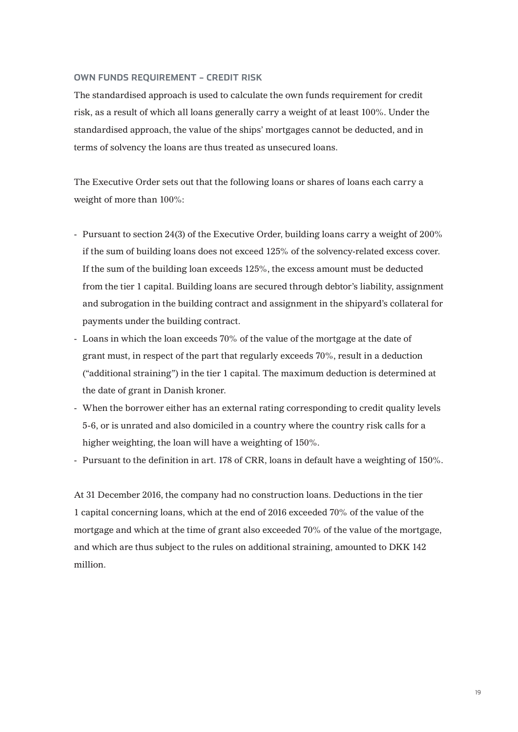### **OWN FUNDS REQUIREMENT – CREDIT RISK**

The standardised approach is used to calculate the own funds requirement for credit risk, as a result of which all loans generally carry a weight of at least 100%. Under the standardised approach, the value of the ships' mortgages cannot be deducted, and in terms of solvency the loans are thus treated as unsecured loans.

The Executive Order sets out that the following loans or shares of loans each carry a weight of more than 100%:

- Pursuant to section 24(3) of the Executive Order, building loans carry a weight of 200% if the sum of building loans does not exceed 125% of the solvency-related excess cover. If the sum of the building loan exceeds 125%, the excess amount must be deducted from the tier 1 capital. Building loans are secured through debtor's liability, assignment and subrogation in the building contract and assignment in the shipyard's collateral for payments under the building contract.
- Loans in which the loan exceeds 70% of the value of the mortgage at the date of grant must, in respect of the part that regularly exceeds 70%, result in a deduction ("additional straining") in the tier 1 capital. The maximum deduction is determined at the date of grant in Danish kroner.
- When the borrower either has an external rating corresponding to credit quality levels 5-6, or is unrated and also domiciled in a country where the country risk calls for a higher weighting, the loan will have a weighting of 150%.
- Pursuant to the definition in art. 178 of CRR, loans in default have a weighting of 150%.

At 31 December 2016, the company had no construction loans. Deductions in the tier 1 capital concerning loans, which at the end of 2016 exceeded 70% of the value of the mortgage and which at the time of grant also exceeded 70% of the value of the mortgage, and which are thus subject to the rules on additional straining, amounted to DKK 142 million.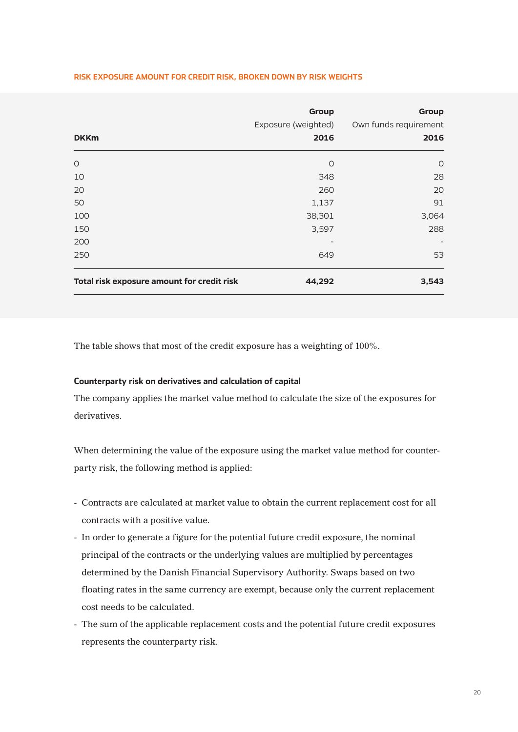### **RISK EXPOSURE AMOUNT FOR CREDIT RISK, BROKEN DOWN BY RISK WEIGHTS**

| <b>DKKm</b>                                | Group<br>Exposure (weighted)<br>2016 | Group<br>Own funds requirement<br>2016 |
|--------------------------------------------|--------------------------------------|----------------------------------------|
| $\circ$                                    | $\circ$                              | $\circ$                                |
| 10                                         | 348                                  | 28                                     |
| 20                                         | 260                                  | 20                                     |
| 50                                         | 1,137                                | 91                                     |
| 100                                        | 38,301                               | 3,064                                  |
| 150                                        | 3,597                                | 288                                    |
| 200                                        |                                      |                                        |
| 250                                        | 649                                  | 53                                     |
| Total risk exposure amount for credit risk | 44,292                               | 3,543                                  |

The table shows that most of the credit exposure has a weighting of 100%.

### **Counterparty risk on derivatives and calculation of capital**

The company applies the market value method to calculate the size of the exposures for derivatives.

When determining the value of the exposure using the market value method for counterparty risk, the following method is applied:

- Contracts are calculated at market value to obtain the current replacement cost for all contracts with a positive value.
- In order to generate a figure for the potential future credit exposure, the nominal principal of the contracts or the underlying values are multiplied by percentages determined by the Danish Financial Supervisory Authority. Swaps based on two floating rates in the same currency are exempt, because only the current replacement cost needs to be calculated.
- The sum of the applicable replacement costs and the potential future credit exposures represents the counterparty risk.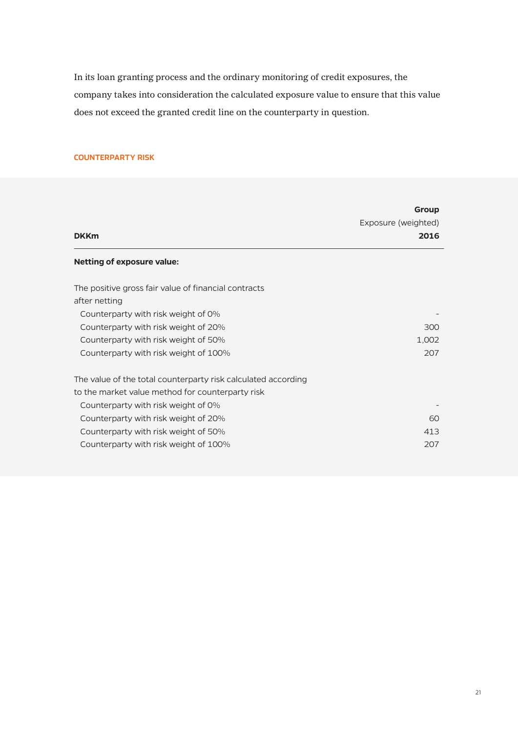In its loan granting process and the ordinary monitoring of credit exposures, the company takes into consideration the calculated exposure value to ensure that this value does not exceed the granted credit line on the counterparty in question.

### **COUNTERPARTY RISK**

| <b>DKKm</b>                                                                                                                                                                                                                                                                       | Group<br>Exposure (weighted)<br>2016 |
|-----------------------------------------------------------------------------------------------------------------------------------------------------------------------------------------------------------------------------------------------------------------------------------|--------------------------------------|
| <b>Netting of exposure value:</b>                                                                                                                                                                                                                                                 |                                      |
| The positive gross fair value of financial contracts<br>after netting<br>Counterparty with risk weight of 0%<br>Counterparty with risk weight of 20%<br>Counterparty with risk weight of 50%<br>Counterparty with risk weight of 100%                                             | 300<br>1,002<br>207                  |
| The value of the total counterparty risk calculated according<br>to the market value method for counterparty risk<br>Counterparty with risk weight of 0%<br>Counterparty with risk weight of 20%<br>Counterparty with risk weight of 50%<br>Counterparty with risk weight of 100% | 60<br>413<br>207                     |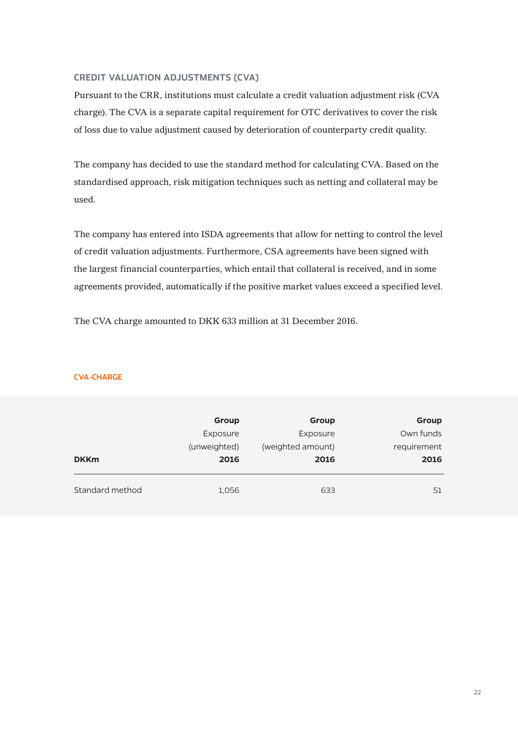### **CREDIT VALUATION ADJUSTMENTS (CVA)**

Pursuant to the CRR, institutions must calculate a credit valuation adjustment risk (CVA charge). The CVA is a separate capital requirement for OTC derivatives to cover the risk of loss due to value adjustment caused by deterioration of counterparty credit quality.

The company has decided to use the standard method for calculating CVA. Based on the standardised approach, risk mitigation techniques such as netting and collateral may be used.

The company has entered into ISDA agreements that allow for netting to control the level of credit valuation adjustments. Furthermore, CSA agreements have been signed with the largest financial counterparties, which entail that collateral is received, and in some agreements provided, automatically if the positive market values exceed a specified level.

The CVA charge amounted to DKK 633 million at 31 December 2016.

| Group       | Group             | Group        |             |
|-------------|-------------------|--------------|-------------|
|             |                   |              |             |
| Own funds   | Exposure          | Exposure     |             |
| requirement | (weighted amount) | (unweighted) |             |
| 2016        | 2016              | 2016         | <b>DKKm</b> |

Standard method 1,056 633 633 51

### **CVA-CHARGE**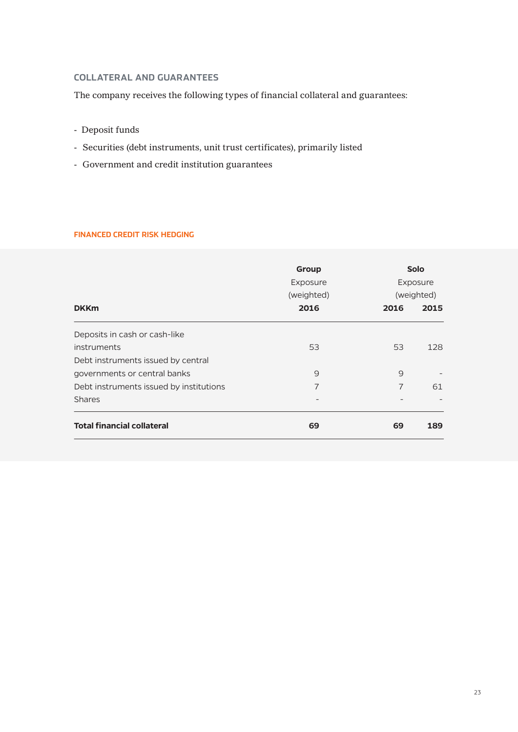### **COLLATERAL AND GUARANTEES**

The company receives the following types of financial collateral and guarantees:

- Deposit funds
- Securities (debt instruments, unit trust certificates), primarily listed
- Government and credit institution guarantees

### **FINANCED CREDIT RISK HEDGING**

|                                         | Group<br>Exposure<br>(weighted) | <b>Solo</b><br>Exposure<br>(weighted) |      |
|-----------------------------------------|---------------------------------|---------------------------------------|------|
| <b>DKKm</b>                             | 2016                            | 2016                                  | 2015 |
| Deposits in cash or cash-like           |                                 |                                       |      |
| instruments                             | 53                              | 53                                    | 128  |
| Debt instruments issued by central      |                                 |                                       |      |
| governments or central banks            | 9                               | 9                                     |      |
| Debt instruments issued by institutions | 7                               | $\overline{7}$                        | 61   |
| <b>Shares</b>                           |                                 |                                       |      |
| <b>Total financial collateral</b>       | 69                              | 69                                    | 189  |
|                                         |                                 |                                       |      |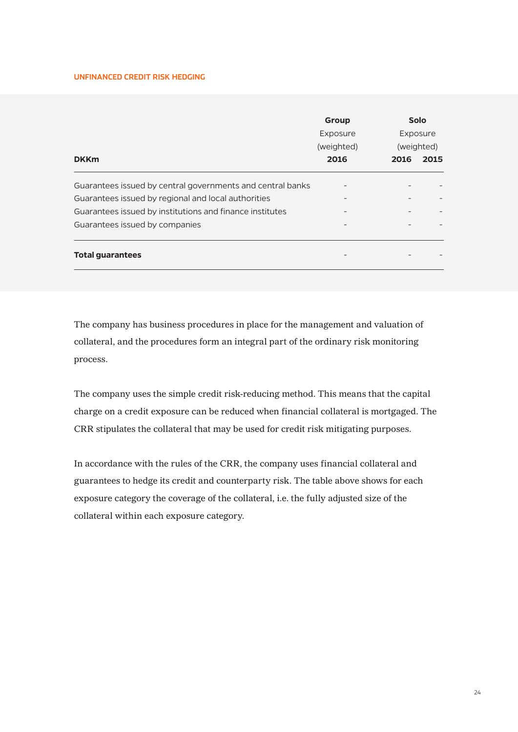### **UNFINANCED CREDIT RISK HEDGING**

|                                                            | Group<br>Exposure | <b>Solo</b><br>Exposure |      |
|------------------------------------------------------------|-------------------|-------------------------|------|
|                                                            | (weighted)        | (weighted)              |      |
| <b>DKKm</b>                                                | 2016              | 2016                    | 2015 |
| Guarantees issued by central governments and central banks |                   |                         |      |
| Guarantees issued by regional and local authorities        |                   |                         |      |
| Guarantees issued by institutions and finance institutes   |                   |                         |      |
| Guarantees issued by companies                             |                   |                         |      |
| <b>Total quarantees</b>                                    |                   |                         |      |

The company has business procedures in place for the management and valuation of collateral, and the procedures form an integral part of the ordinary risk monitoring process.

The company uses the simple credit risk-reducing method. This means that the capital charge on a credit exposure can be reduced when financial collateral is mortgaged. The CRR stipulates the collateral that may be used for credit risk mitigating purposes.

In accordance with the rules of the CRR, the company uses financial collateral and guarantees to hedge its credit and counterparty risk. The table above shows for each exposure category the coverage of the collateral, i.e. the fully adjusted size of the collateral within each exposure category.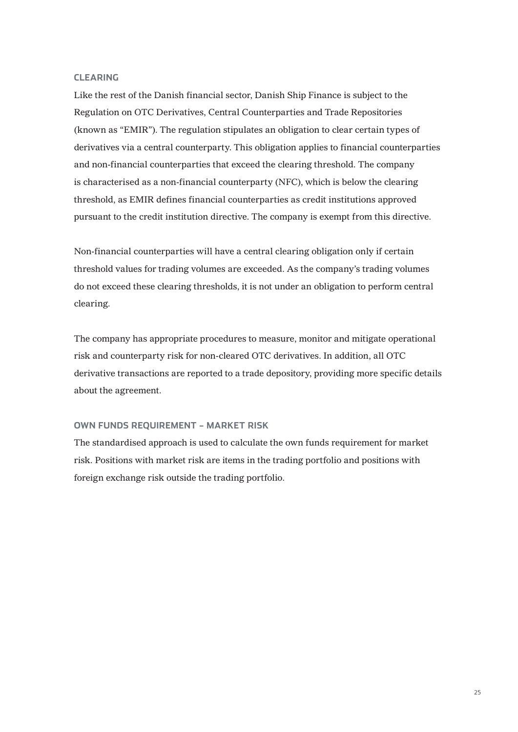### **CLEARING**

Like the rest of the Danish financial sector, Danish Ship Finance is subject to the Regulation on OTC Derivatives, Central Counterparties and Trade Repositories (known as "EMIR"). The regulation stipulates an obligation to clear certain types of derivatives via a central counterparty. This obligation applies to financial counterparties and non-financial counterparties that exceed the clearing threshold. The company is characterised as a non-financial counterparty (NFC), which is below the clearing threshold, as EMIR defines financial counterparties as credit institutions approved pursuant to the credit institution directive. The company is exempt from this directive.

Non-financial counterparties will have a central clearing obligation only if certain threshold values for trading volumes are exceeded. As the company's trading volumes do not exceed these clearing thresholds, it is not under an obligation to perform central clearing.

The company has appropriate procedures to measure, monitor and mitigate operational risk and counterparty risk for non-cleared OTC derivatives. In addition, all OTC derivative transactions are reported to a trade depository, providing more specific details about the agreement.

### **OWN FUNDS REQUIREMENT – MARKET RISK**

The standardised approach is used to calculate the own funds requirement for market risk. Positions with market risk are items in the trading portfolio and positions with foreign exchange risk outside the trading portfolio.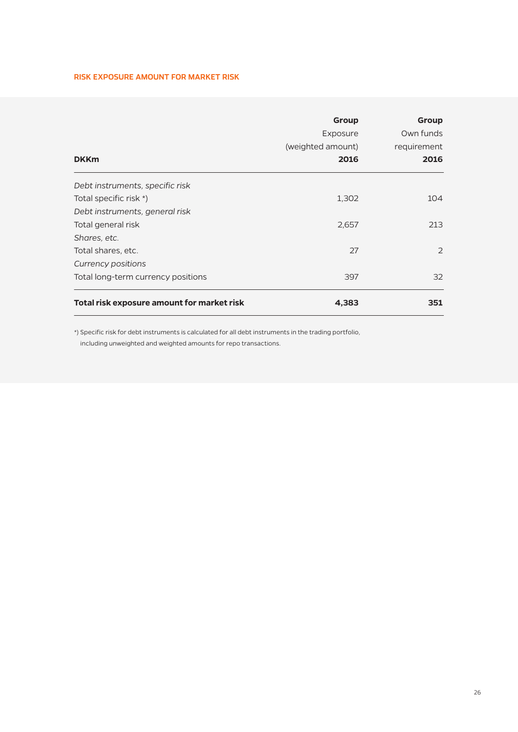### **RISK EXPOSURE AMOUNT FOR MARKET RISK**

| <b>DKKm</b>                                | Group<br>Exposure<br>(weighted amount)<br>2016 | Group<br>Own funds<br>requirement<br>2016 |
|--------------------------------------------|------------------------------------------------|-------------------------------------------|
| Debt instruments, specific risk            |                                                |                                           |
| Total specific risk *)                     | 1,302                                          | 104                                       |
| Debt instruments, general risk             |                                                |                                           |
| Total general risk                         | 2,657                                          | 213                                       |
| Shares, etc.                               |                                                |                                           |
| Total shares, etc.                         | 27                                             | 2                                         |
| Currency positions                         |                                                |                                           |
| Total long-term currency positions         | 397                                            | 32                                        |
| Total risk exposure amount for market risk | 4,383                                          | 351                                       |

\*) Specific risk for debt instruments is calculated for all debt instruments in the trading portfolio, including unweighted and weighted amounts for repo transactions.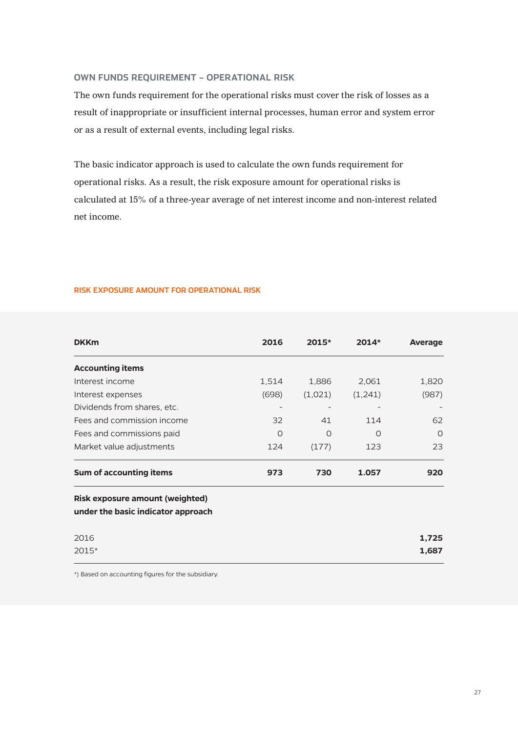### **OWN FUNDS REQUIREMENT – OPERATIONAL RISK**

The own funds requirement for the operational risks must cover the risk of losses as a result of inappropriate or insufficient internal processes, human error and system error or as a result of external events, including legal risks.

The basic indicator approach is used to calculate the own funds requirement for operational risks. As a result, the risk exposure amount for operational risks is calculated at 15% of a three-year average of net interest income and non-interest related net income.

**RISK EXPOSURE AMOUNT FOR OPERATIONAL RISK**

| <b>DKKm</b>                                                                  | 2016    | $2015*$ | $2014*$ | Average |
|------------------------------------------------------------------------------|---------|---------|---------|---------|
| <b>Accounting items</b>                                                      |         |         |         |         |
| Interest income                                                              | 1,514   | 1,886   | 2,061   | 1,820   |
| Interest expenses                                                            | (698)   | (1,021) | (1,241) | (987)   |
| Dividends from shares, etc.                                                  |         |         |         |         |
| Fees and commission income                                                   | 32      | 41      | 114     | 62      |
| Fees and commissions paid                                                    | $\circ$ | O       | O       | $\circ$ |
| Market value adjustments                                                     | 124     | (177)   | 123     | 23      |
| Sum of accounting items                                                      | 973     | 730     | 1.057   | 920     |
| <b>Risk exposure amount (weighted)</b><br>under the basic indicator approach |         |         |         |         |
| 2016                                                                         |         |         |         | 1,725   |
| 2015*                                                                        |         |         |         | 1,687   |

\*) Based on accounting figures for the subsidiary.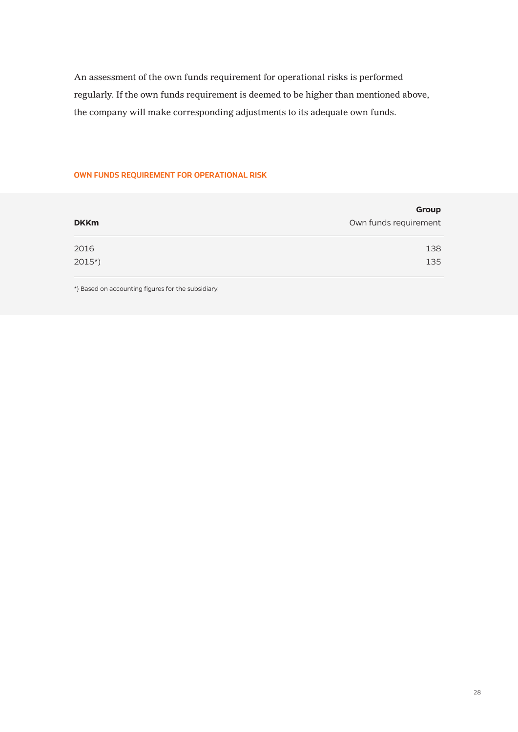An assessment of the own funds requirement for operational risks is performed regularly. If the own funds requirement is deemed to be higher than mentioned above, the company will make corresponding adjustments to its adequate own funds.

## **OWN FUNDS REQUIREMENT FOR OPERATIONAL RISK**

| <b>DKKm</b> | Group<br>Own funds requirement |
|-------------|--------------------------------|
| 2016        | 138                            |
| $2015*)$    | 135                            |

\*) Based on accounting figures for the subsidiary.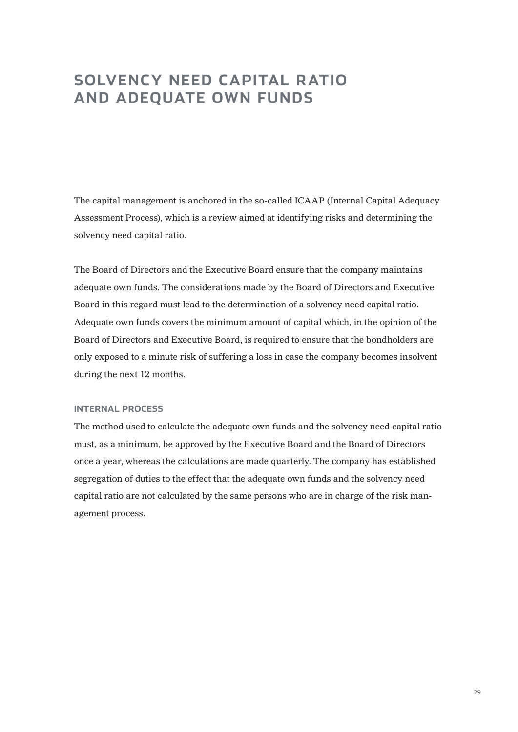# **SOLVENCY NEED CAPITAL RATIO AND ADEQUATE OWN FUNDS**

The capital management is anchored in the so-called ICAAP (Internal Capital Adequacy Assessment Process), which is a review aimed at identifying risks and determining the solvency need capital ratio.

The Board of Directors and the Executive Board ensure that the company maintains adequate own funds. The considerations made by the Board of Directors and Executive Board in this regard must lead to the determination of a solvency need capital ratio. Adequate own funds covers the minimum amount of capital which, in the opinion of the Board of Directors and Executive Board, is required to ensure that the bondholders are only exposed to a minute risk of suffering a loss in case the company becomes insolvent during the next 12 months.

### **INTERNAL PROCESS**

The method used to calculate the adequate own funds and the solvency need capital ratio must, as a minimum, be approved by the Executive Board and the Board of Directors once a year, whereas the calculations are made quarterly. The company has established segregation of duties to the effect that the adequate own funds and the solvency need capital ratio are not calculated by the same persons who are in charge of the risk management process.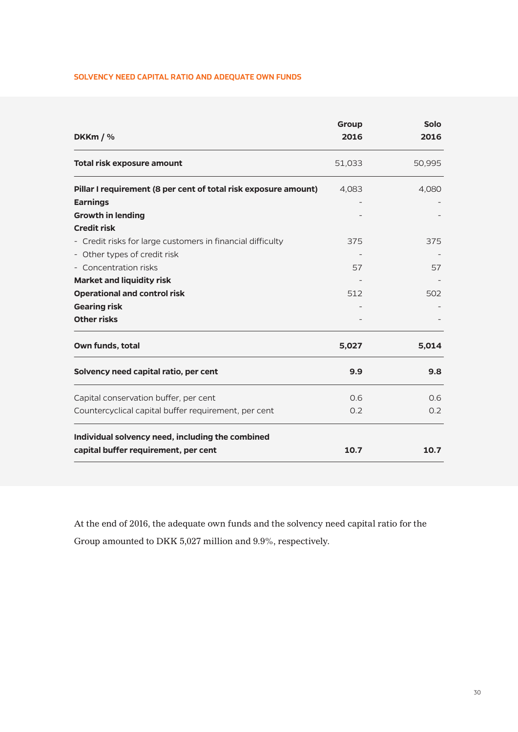### **SOLVENCY NEED CAPITAL RATIO AND ADEQUATE OWN FUNDS**

| DKKm $/$ %                                                      | Group<br>2016 | <b>Solo</b><br>2016 |
|-----------------------------------------------------------------|---------------|---------------------|
| <b>Total risk exposure amount</b>                               | 51,033        | 50,995              |
| Pillar I requirement (8 per cent of total risk exposure amount) | 4,083         | 4,080               |
| <b>Earnings</b>                                                 |               |                     |
| <b>Growth in lending</b>                                        |               |                     |
| <b>Credit risk</b>                                              |               |                     |
| - Credit risks for large customers in financial difficulty      | 375           | 375                 |
| - Other types of credit risk                                    |               |                     |
| - Concentration risks                                           | 57            | 57                  |
| <b>Market and liquidity risk</b>                                |               |                     |
| <b>Operational and control risk</b>                             | 512           | 502                 |
| <b>Gearing risk</b>                                             |               |                     |
| <b>Other risks</b>                                              |               |                     |
| Own funds, total                                                | 5,027         | 5,014               |
| Solvency need capital ratio, per cent                           | 9.9           | 9.8                 |
| Capital conservation buffer, per cent                           | 0.6           | 0.6                 |
| Countercyclical capital buffer requirement, per cent            | 0.2           | 0.2                 |
| Individual solvency need, including the combined                |               |                     |
| capital buffer requirement, per cent                            | 10.7          | 10.7                |

At the end of 2016, the adequate own funds and the solvency need capital ratio for the Group amounted to DKK 5,027 million and 9.9%, respectively.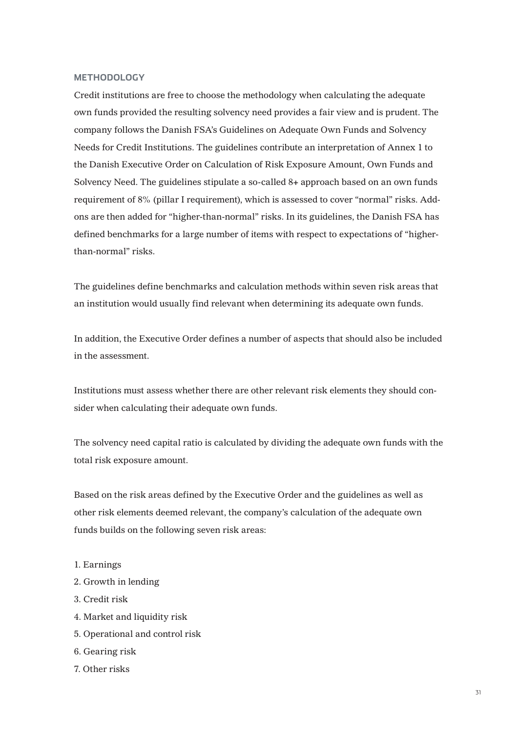### **METHODOLOGY**

Credit institutions are free to choose the methodology when calculating the adequate own funds provided the resulting solvency need provides a fair view and is prudent. The company follows the Danish FSA's Guidelines on Adequate Own Funds and Solvency Needs for Credit Institutions. The guidelines contribute an interpretation of Annex 1 to the Danish Executive Order on Calculation of Risk Exposure Amount, Own Funds and Solvency Need. The guidelines stipulate a so-called 8+ approach based on an own funds requirement of 8% (pillar I requirement), which is assessed to cover "normal" risks. Addons are then added for "higher-than-normal" risks. In its guidelines, the Danish FSA has defined benchmarks for a large number of items with respect to expectations of "higherthan-normal" risks.

The guidelines define benchmarks and calculation methods within seven risk areas that an institution would usually find relevant when determining its adequate own funds.

In addition, the Executive Order defines a number of aspects that should also be included in the assessment.

Institutions must assess whether there are other relevant risk elements they should consider when calculating their adequate own funds.

The solvency need capital ratio is calculated by dividing the adequate own funds with the total risk exposure amount.

Based on the risk areas defined by the Executive Order and the guidelines as well as other risk elements deemed relevant, the company's calculation of the adequate own funds builds on the following seven risk areas:

- 1. Earnings
- 2. Growth in lending
- 3. Credit risk
- 4. Market and liquidity risk
- 5. Operational and control risk
- 6. Gearing risk
- 7. Other risks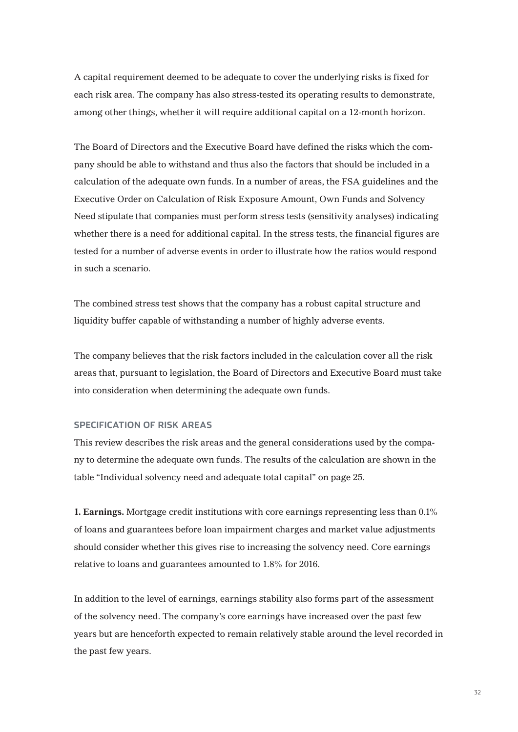A capital requirement deemed to be adequate to cover the underlying risks is fixed for each risk area. The company has also stress-tested its operating results to demonstrate, among other things, whether it will require additional capital on a 12-month horizon.

The Board of Directors and the Executive Board have defined the risks which the company should be able to withstand and thus also the factors that should be included in a calculation of the adequate own funds. In a number of areas, the FSA guidelines and the Executive Order on Calculation of Risk Exposure Amount, Own Funds and Solvency Need stipulate that companies must perform stress tests (sensitivity analyses) indicating whether there is a need for additional capital. In the stress tests, the financial figures are tested for a number of adverse events in order to illustrate how the ratios would respond in such a scenario.

The combined stress test shows that the company has a robust capital structure and liquidity buffer capable of withstanding a number of highly adverse events.

The company believes that the risk factors included in the calculation cover all the risk areas that, pursuant to legislation, the Board of Directors and Executive Board must take into consideration when determining the adequate own funds.

### **SPECIFICATION OF RISK AREAS**

This review describes the risk areas and the general considerations used by the company to determine the adequate own funds. The results of the calculation are shown in the table "Individual solvency need and adequate total capital" on page 25.

**1. Earnings.** Mortgage credit institutions with core earnings representing less than 0.1% of loans and guarantees before loan impairment charges and market value adjustments should consider whether this gives rise to increasing the solvency need. Core earnings relative to loans and guarantees amounted to 1.8% for 2016.

In addition to the level of earnings, earnings stability also forms part of the assessment of the solvency need. The company's core earnings have increased over the past few years but are henceforth expected to remain relatively stable around the level recorded in the past few years.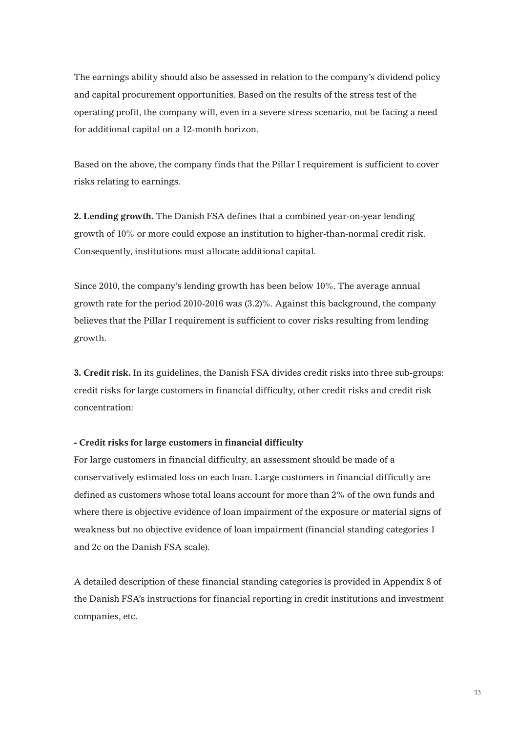The earnings ability should also be assessed in relation to the company's dividend policy and capital procurement opportunities. Based on the results of the stress test of the operating profit, the company will, even in a severe stress scenario, not be facing a need for additional capital on a 12-month horizon.

Based on the above, the company finds that the Pillar I requirement is sufficient to cover risks relating to earnings.

**2. Lending growth.** The Danish FSA defines that a combined year-on-year lending growth of 10% or more could expose an institution to higher-than-normal credit risk. Consequently, institutions must allocate additional capital.

Since 2010, the company's lending growth has been below 10%. The average annual growth rate for the period 2010-2016 was (3.2)%. Against this background, the company believes that the Pillar I requirement is sufficient to cover risks resulting from lending growth.

**3. Credit risk.** In its guidelines, the Danish FSA divides credit risks into three sub-groups: credit risks for large customers in financial difficulty, other credit risks and credit risk concentration:

### **- Credit risks for large customers in financial difficulty**

For large customers in financial difficulty, an assessment should be made of a conservatively estimated loss on each loan. Large customers in financial difficulty are defined as customers whose total loans account for more than 2% of the own funds and where there is objective evidence of loan impairment of the exposure or material signs of weakness but no objective evidence of loan impairment (financial standing categories 1 and 2c on the Danish FSA scale).

A detailed description of these financial standing categories is provided in Appendix 8 of the Danish FSA's instructions for financial reporting in credit institutions and investment companies, etc.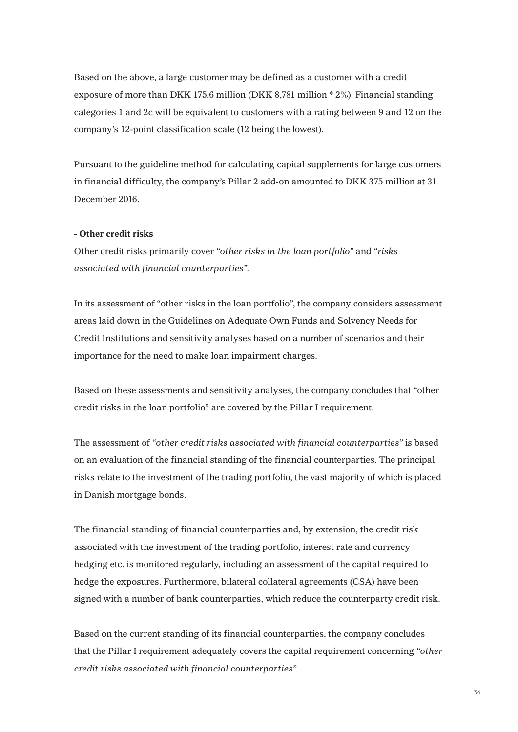Based on the above, a large customer may be defined as a customer with a credit exposure of more than DKK 175.6 million (DKK 8,781 million \* 2%). Financial standing categories 1 and 2c will be equivalent to customers with a rating between 9 and 12 on the company's 12-point classification scale (12 being the lowest).

Pursuant to the guideline method for calculating capital supplements for large customers in financial difficulty, the company's Pillar 2 add-on amounted to DKK 375 million at 31 December 2016.

### **- Other credit risks**

Other credit risks primarily cover *"other risks in the loan portfolio"* and *"risks associated with financial counterparties"*.

In its assessment of "other risks in the loan portfolio", the company considers assessment areas laid down in the Guidelines on Adequate Own Funds and Solvency Needs for Credit Institutions and sensitivity analyses based on a number of scenarios and their importance for the need to make loan impairment charges.

Based on these assessments and sensitivity analyses, the company concludes that "other credit risks in the loan portfolio" are covered by the Pillar I requirement.

The assessment of *"other credit risks associated with financial counterparties"* is based on an evaluation of the financial standing of the financial counterparties. The principal risks relate to the investment of the trading portfolio, the vast majority of which is placed in Danish mortgage bonds.

The financial standing of financial counterparties and, by extension, the credit risk associated with the investment of the trading portfolio, interest rate and currency hedging etc. is monitored regularly, including an assessment of the capital required to hedge the exposures. Furthermore, bilateral collateral agreements (CSA) have been signed with a number of bank counterparties, which reduce the counterparty credit risk.

Based on the current standing of its financial counterparties, the company concludes that the Pillar I requirement adequately covers the capital requirement concerning *"other credit risks associated with financial counterparties"*.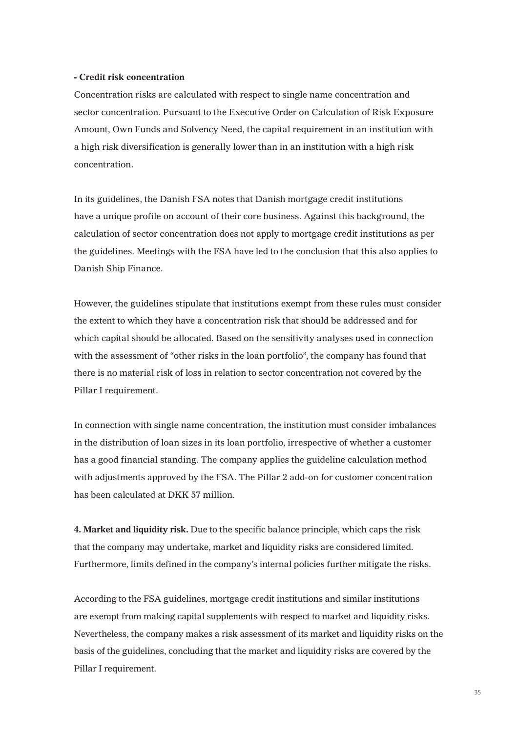### **- Credit risk concentration**

Concentration risks are calculated with respect to single name concentration and sector concentration. Pursuant to the Executive Order on Calculation of Risk Exposure Amount, Own Funds and Solvency Need, the capital requirement in an institution with a high risk diversification is generally lower than in an institution with a high risk concentration.

In its guidelines, the Danish FSA notes that Danish mortgage credit institutions have a unique profile on account of their core business. Against this background, the calculation of sector concentration does not apply to mortgage credit institutions as per the guidelines. Meetings with the FSA have led to the conclusion that this also applies to Danish Ship Finance.

However, the guidelines stipulate that institutions exempt from these rules must consider the extent to which they have a concentration risk that should be addressed and for which capital should be allocated. Based on the sensitivity analyses used in connection with the assessment of "other risks in the loan portfolio", the company has found that there is no material risk of loss in relation to sector concentration not covered by the Pillar I requirement.

In connection with single name concentration, the institution must consider imbalances in the distribution of loan sizes in its loan portfolio, irrespective of whether a customer has a good financial standing. The company applies the guideline calculation method with adjustments approved by the FSA. The Pillar 2 add-on for customer concentration has been calculated at DKK 57 million.

**4. Market and liquidity risk.** Due to the specific balance principle, which caps the risk that the company may undertake, market and liquidity risks are considered limited. Furthermore, limits defined in the company's internal policies further mitigate the risks.

According to the FSA guidelines, mortgage credit institutions and similar institutions are exempt from making capital supplements with respect to market and liquidity risks. Nevertheless, the company makes a risk assessment of its market and liquidity risks on the basis of the guidelines, concluding that the market and liquidity risks are covered by the Pillar I requirement.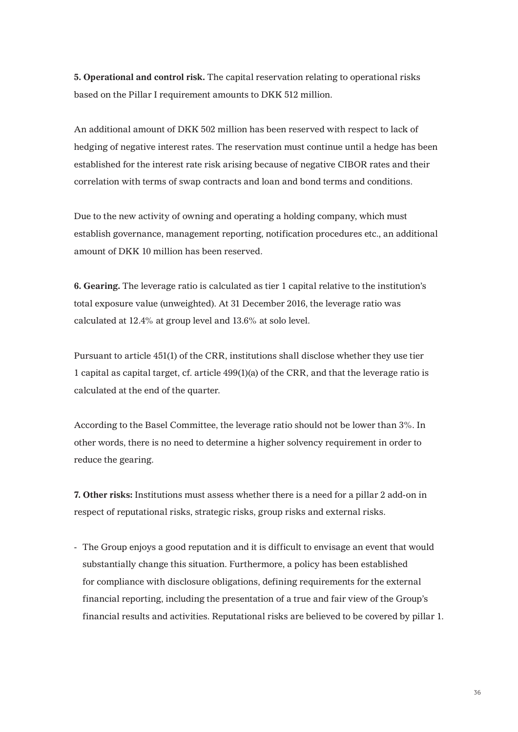**5. Operational and control risk.** The capital reservation relating to operational risks based on the Pillar I requirement amounts to DKK 512 million.

An additional amount of DKK 502 million has been reserved with respect to lack of hedging of negative interest rates. The reservation must continue until a hedge has been established for the interest rate risk arising because of negative CIBOR rates and their correlation with terms of swap contracts and loan and bond terms and conditions.

Due to the new activity of owning and operating a holding company, which must establish governance, management reporting, notification procedures etc., an additional amount of DKK 10 million has been reserved.

**6. Gearing.** The leverage ratio is calculated as tier 1 capital relative to the institution's total exposure value (unweighted). At 31 December 2016, the leverage ratio was calculated at 12.4% at group level and 13.6% at solo level.

Pursuant to article 451(1) of the CRR, institutions shall disclose whether they use tier 1 capital as capital target, cf. article 499(1)(a) of the CRR, and that the leverage ratio is calculated at the end of the quarter.

According to the Basel Committee, the leverage ratio should not be lower than 3%. In other words, there is no need to determine a higher solvency requirement in order to reduce the gearing.

**7. Other risks:** Institutions must assess whether there is a need for a pillar 2 add-on in respect of reputational risks, strategic risks, group risks and external risks.

- The Group enjoys a good reputation and it is difficult to envisage an event that would substantially change this situation. Furthermore, a policy has been established for compliance with disclosure obligations, defining requirements for the external financial reporting, including the presentation of a true and fair view of the Group's financial results and activities. Reputational risks are believed to be covered by pillar 1.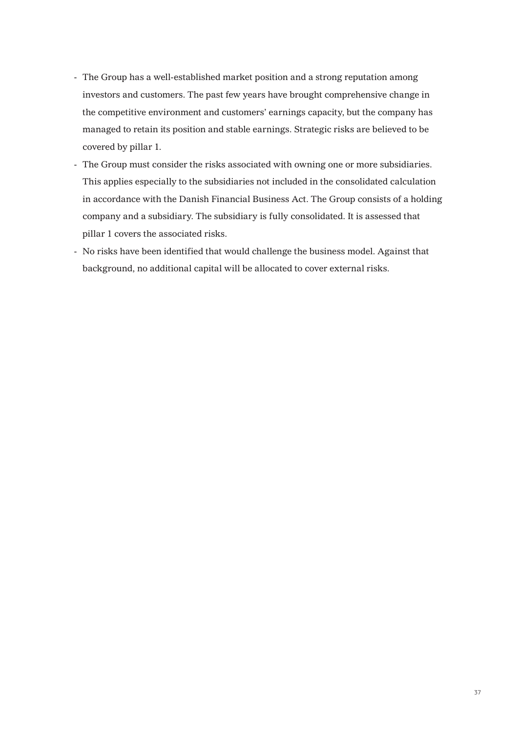- The Group has a well-established market position and a strong reputation among investors and customers. The past few years have brought comprehensive change in the competitive environment and customers' earnings capacity, but the company has managed to retain its position and stable earnings. Strategic risks are believed to be covered by pillar 1.
- The Group must consider the risks associated with owning one or more subsidiaries. This applies especially to the subsidiaries not included in the consolidated calculation in accordance with the Danish Financial Business Act. The Group consists of a holding company and a subsidiary. The subsidiary is fully consolidated. It is assessed that pillar 1 covers the associated risks.
- No risks have been identified that would challenge the business model. Against that background, no additional capital will be allocated to cover external risks.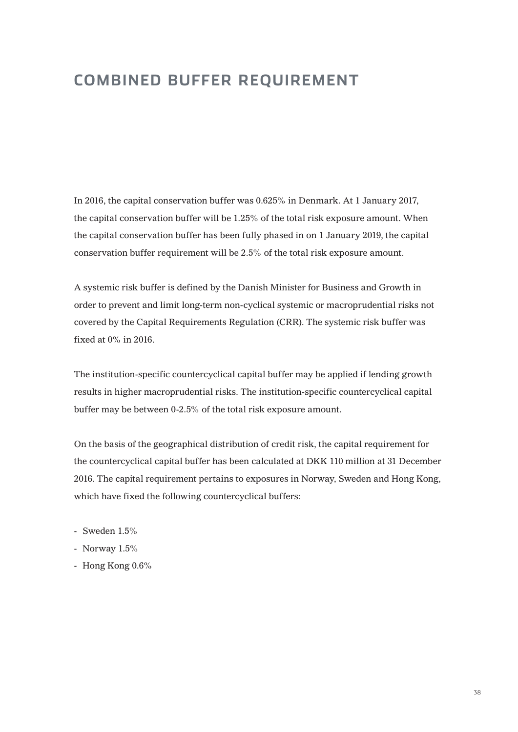## **COMBINED BUFFER REQUIREMENT**

In 2016, the capital conservation buffer was 0.625% in Denmark. At 1 January 2017, the capital conservation buffer will be 1.25% of the total risk exposure amount. When the capital conservation buffer has been fully phased in on 1 January 2019, the capital conservation buffer requirement will be 2.5% of the total risk exposure amount.

A systemic risk buffer is defined by the Danish Minister for Business and Growth in order to prevent and limit long-term non-cyclical systemic or macroprudential risks not covered by the Capital Requirements Regulation (CRR). The systemic risk buffer was fixed at 0% in 2016.

The institution-specific countercyclical capital buffer may be applied if lending growth results in higher macroprudential risks. The institution-specific countercyclical capital buffer may be between 0-2.5% of the total risk exposure amount.

On the basis of the geographical distribution of credit risk, the capital requirement for the countercyclical capital buffer has been calculated at DKK 110 million at 31 December 2016. The capital requirement pertains to exposures in Norway, Sweden and Hong Kong, which have fixed the following countercyclical buffers:

- Sweden  $1.5\%$
- Norway 1.5%
- Hong Kong 0.6%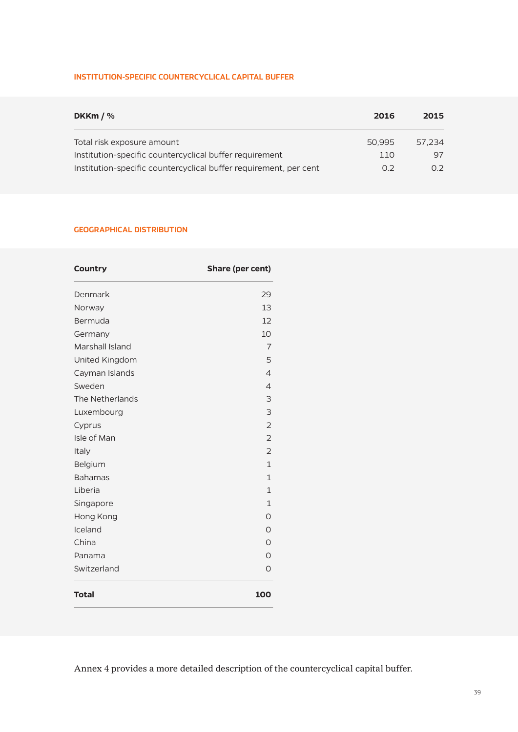## **INSTITUTION-SPECIFIC COUNTERCYCLICAL CAPITAL BUFFER**

| DKKm $/$ %                                                        | 2016   | 2015   |  |
|-------------------------------------------------------------------|--------|--------|--|
| Total risk exposure amount                                        | 50.995 | 57.234 |  |
| Institution-specific countercyclical buffer requirement           | 110    | 97     |  |
| Institution-specific countercyclical buffer requirement, per cent | 02     | N 2.   |  |

## **GEOGRAPHICAL DISTRIBUTION**

| <b>Country</b>  | Share (per cent) |  |  |
|-----------------|------------------|--|--|
| Denmark         | 29               |  |  |
| Norway          | 13               |  |  |
| Bermuda         | 12               |  |  |
| Germany         | 10               |  |  |
| Marshall Island | $\overline{7}$   |  |  |
| United Kingdom  | 5                |  |  |
| Cayman Islands  | $\overline{4}$   |  |  |
| Sweden          | $\overline{4}$   |  |  |
| The Netherlands | 3                |  |  |
| Luxembourg      | 3                |  |  |
| Cyprus          | $\overline{2}$   |  |  |
| Isle of Man     | $\overline{2}$   |  |  |
| Italy           | $\overline{2}$   |  |  |
| Belgium         | $\mathbf{1}$     |  |  |
| <b>Bahamas</b>  | 1                |  |  |
| Liberia         | $\mathbf{1}$     |  |  |
| Singapore       | $\mathbf{1}$     |  |  |
| Hong Kong       | 0                |  |  |
| Iceland         | O                |  |  |
| China           | Ω                |  |  |
| Panama          | O                |  |  |
| Switzerland     | O                |  |  |
| <b>Total</b>    | 100              |  |  |

Annex 4 provides a more detailed description of the countercyclical capital buffer.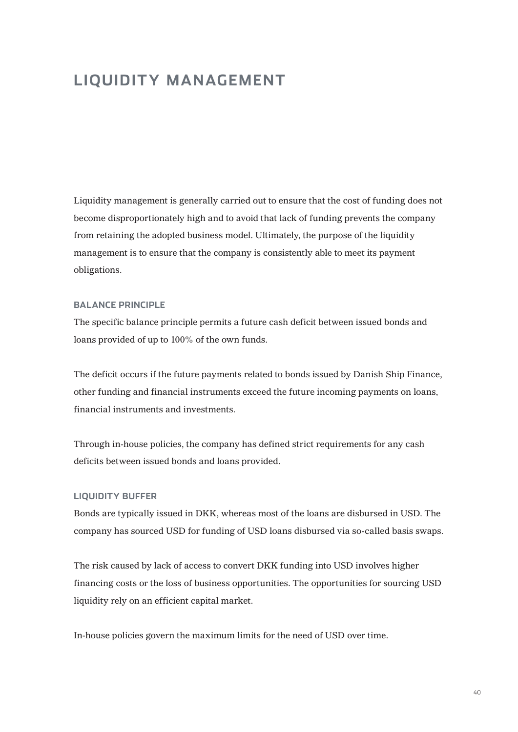## **LIQUIDITY MANAGEMENT**

Liquidity management is generally carried out to ensure that the cost of funding does not become disproportionately high and to avoid that lack of funding prevents the company from retaining the adopted business model. Ultimately, the purpose of the liquidity management is to ensure that the company is consistently able to meet its payment obligations.

## **BALANCE PRINCIPLE**

The specific balance principle permits a future cash deficit between issued bonds and loans provided of up to 100% of the own funds.

The deficit occurs if the future payments related to bonds issued by Danish Ship Finance, other funding and financial instruments exceed the future incoming payments on loans, financial instruments and investments.

Through in-house policies, the company has defined strict requirements for any cash deficits between issued bonds and loans provided.

#### **LIQUIDITY BUFFER**

Bonds are typically issued in DKK, whereas most of the loans are disbursed in USD. The company has sourced USD for funding of USD loans disbursed via so-called basis swaps.

The risk caused by lack of access to convert DKK funding into USD involves higher financing costs or the loss of business opportunities. The opportunities for sourcing USD liquidity rely on an efficient capital market.

In-house policies govern the maximum limits for the need of USD over time.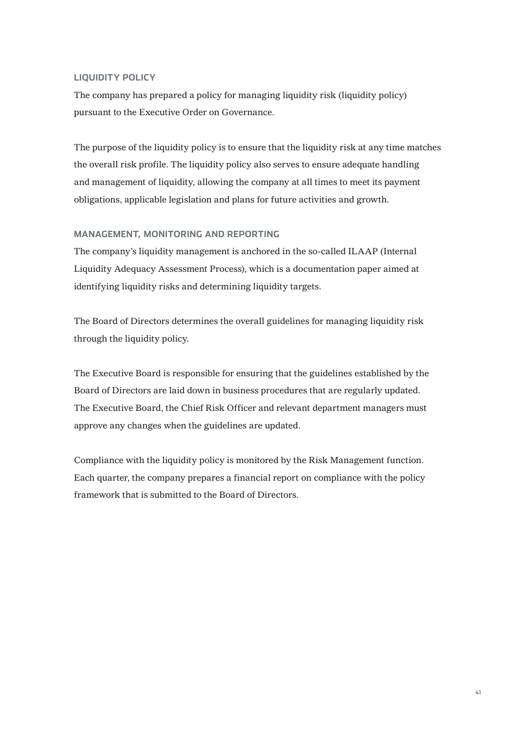## **LIQUIDITY POLICY**

The company has prepared a policy for managing liquidity risk (liquidity policy) pursuant to the Executive Order on Governance.

The purpose of the liquidity policy is to ensure that the liquidity risk at any time matches the overall risk profile. The liquidity policy also serves to ensure adequate handling and management of liquidity, allowing the company at all times to meet its payment obligations, applicable legislation and plans for future activities and growth.

## **MANAGEMENT, MONITORING AND REPORTING**

The company's liquidity management is anchored in the so-called ILAAP (Internal Liquidity Adequacy Assessment Process), which is a documentation paper aimed at identifying liquidity risks and determining liquidity targets.

The Board of Directors determines the overall guidelines for managing liquidity risk through the liquidity policy.

The Executive Board is responsible for ensuring that the guidelines established by the Board of Directors are laid down in business procedures that are regularly updated. The Executive Board, the Chief Risk Officer and relevant department managers must approve any changes when the guidelines are updated.

Compliance with the liquidity policy is monitored by the Risk Management function. Each quarter, the company prepares a financial report on compliance with the policy framework that is submitted to the Board of Directors.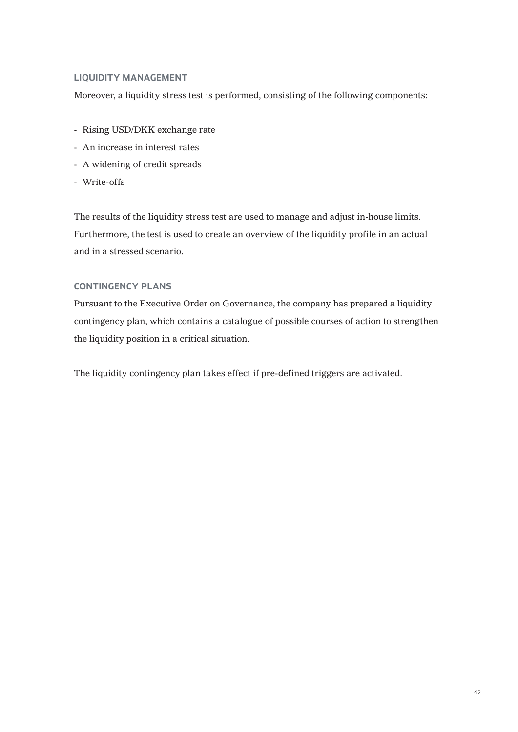## **LIQUIDITY MANAGEMENT**

Moreover, a liquidity stress test is performed, consisting of the following components:

- Rising USD/DKK exchange rate
- An increase in interest rates
- A widening of credit spreads
- Write-offs

The results of the liquidity stress test are used to manage and adjust in-house limits. Furthermore, the test is used to create an overview of the liquidity profile in an actual and in a stressed scenario.

## **CONTINGENCY PLANS**

Pursuant to the Executive Order on Governance, the company has prepared a liquidity contingency plan, which contains a catalogue of possible courses of action to strengthen the liquidity position in a critical situation.

The liquidity contingency plan takes effect if pre-defined triggers are activated.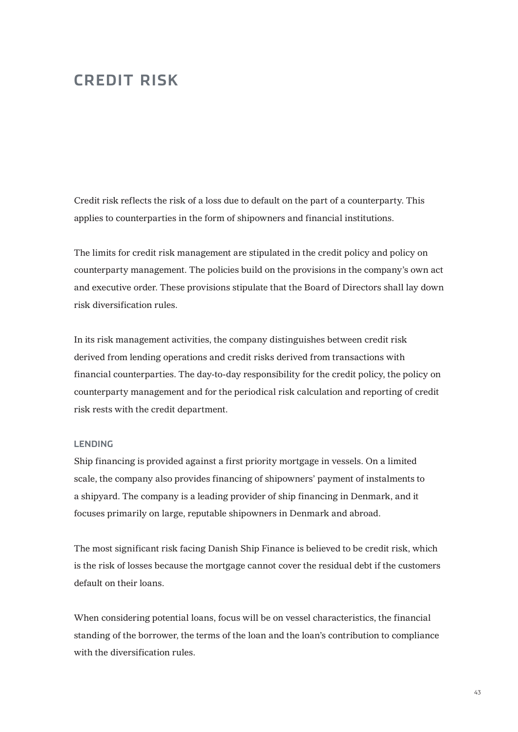## **CREDIT RISK**

Credit risk reflects the risk of a loss due to default on the part of a counterparty. This applies to counterparties in the form of shipowners and financial institutions.

The limits for credit risk management are stipulated in the credit policy and policy on counterparty management. The policies build on the provisions in the company's own act and executive order. These provisions stipulate that the Board of Directors shall lay down risk diversification rules.

In its risk management activities, the company distinguishes between credit risk derived from lending operations and credit risks derived from transactions with financial counterparties. The day-to-day responsibility for the credit policy, the policy on counterparty management and for the periodical risk calculation and reporting of credit risk rests with the credit department.

## **LENDING**

Ship financing is provided against a first priority mortgage in vessels. On a limited scale, the company also provides financing of shipowners' payment of instalments to a shipyard. The company is a leading provider of ship financing in Denmark, and it focuses primarily on large, reputable shipowners in Denmark and abroad.

The most significant risk facing Danish Ship Finance is believed to be credit risk, which is the risk of losses because the mortgage cannot cover the residual debt if the customers default on their loans.

When considering potential loans, focus will be on vessel characteristics, the financial standing of the borrower, the terms of the loan and the loan's contribution to compliance with the diversification rules.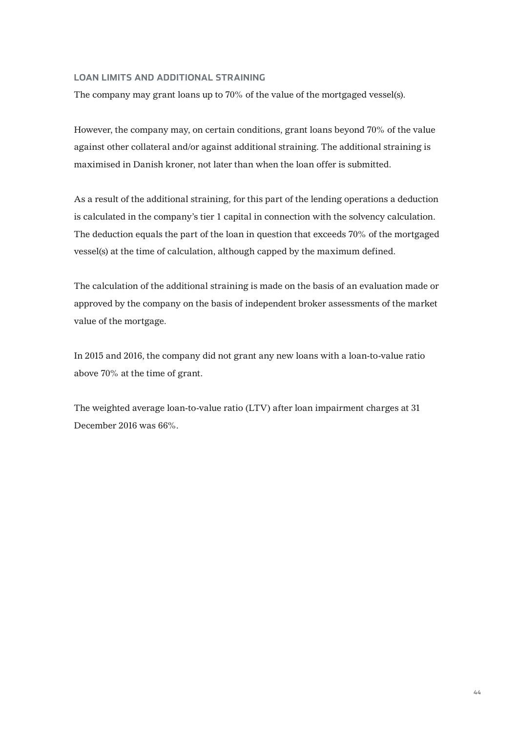## **LOAN LIMITS AND ADDITIONAL STRAINING**

The company may grant loans up to 70% of the value of the mortgaged vessel(s).

However, the company may, on certain conditions, grant loans beyond 70% of the value against other collateral and/or against additional straining. The additional straining is maximised in Danish kroner, not later than when the loan offer is submitted.

As a result of the additional straining, for this part of the lending operations a deduction is calculated in the company's tier 1 capital in connection with the solvency calculation. The deduction equals the part of the loan in question that exceeds 70% of the mortgaged vessel(s) at the time of calculation, although capped by the maximum defined.

The calculation of the additional straining is made on the basis of an evaluation made or approved by the company on the basis of independent broker assessments of the market value of the mortgage.

In 2015 and 2016, the company did not grant any new loans with a loan-to-value ratio above 70% at the time of grant.

The weighted average loan-to-value ratio (LTV) after loan impairment charges at 31 December 2016 was 66%.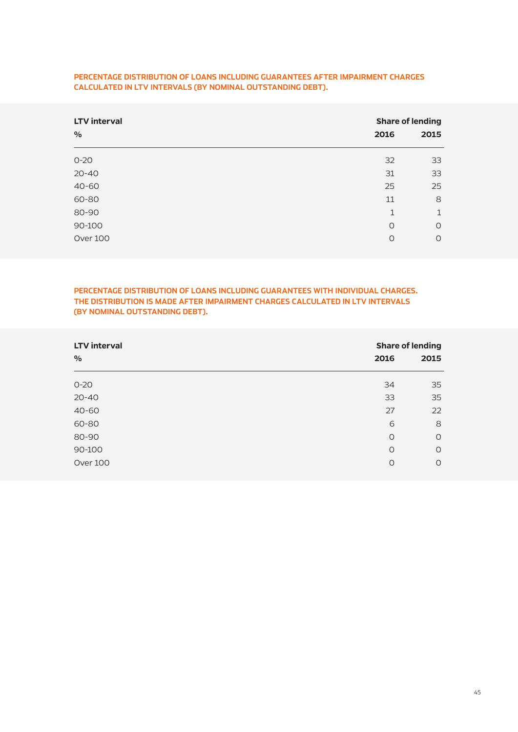| <b>LTV</b> interval |         | <b>Share of lending</b> |  |  |
|---------------------|---------|-------------------------|--|--|
| $\%$                | 2016    | 2015                    |  |  |
| $0 - 20$            | 32      | 33                      |  |  |
| $20 - 40$           | 31      | 33                      |  |  |
| 40-60               | 25      | 25                      |  |  |
| 60-80               | 11      | 8                       |  |  |
| 80-90               | 1       | 1                       |  |  |
| 90-100              | $\circ$ | $\circ$                 |  |  |
| Over 100            | O       | $\circ$                 |  |  |

## **PERCENTAGE DISTRIBUTION OF LOANS INCLUDING GUARANTEES AFTER IMPAIRMENT CHARGES CALCULATED IN LTV INTERVALS (BY NOMINAL OUTSTANDING DEBT).**

**PERCENTAGE DISTRIBUTION OF LOANS INCLUDING GUARANTEES WITH INDIVIDUAL CHARGES. THE DISTRIBUTION IS MADE AFTER IMPAIRMENT CHARGES CALCULATED IN LTV INTERVALS (BY NOMINAL OUTSTANDING DEBT).**

| <b>LTV</b> interval |         | <b>Share of lending</b> |  |  |
|---------------------|---------|-------------------------|--|--|
| $\%$                | 2016    | 2015                    |  |  |
| $0 - 20$            | 34      | 35                      |  |  |
| $20 - 40$           | 33      | 35                      |  |  |
| 40-60               | 27      | 22                      |  |  |
| 60-80               | 6       | 8                       |  |  |
| 80-90               | $\circ$ | $\circ$                 |  |  |
| 90-100              | $\circ$ | $\circ$                 |  |  |
| Over 100            | $\circ$ | $\circ$                 |  |  |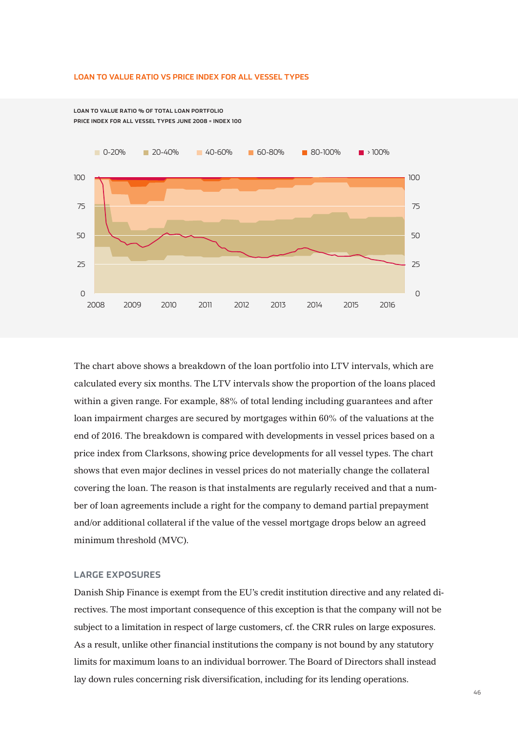#### **LOAN TO VALUE RATIO VS PRICE INDEX FOR ALL VESSEL TYPES**

**LOAN TO VALUE RATIO % OF TOTAL LOAN PORTFOLIO PRICE INDEX FOR ALL VESSEL TYPES JUNE 2008 = INDEX 100**



The chart above shows a breakdown of the loan portfolio into LTV intervals, which are calculated every six months. The LTV intervals show the proportion of the loans placed within a given range. For example, 88% of total lending including guarantees and after loan impairment charges are secured by mortgages within 60% of the valuations at the end of 2016. The breakdown is compared with developments in vessel prices based on a price index from Clarksons, showing price developments for all vessel types. The chart shows that even major declines in vessel prices do not materially change the collateral covering the loan. The reason is that instalments are regularly received and that a number of loan agreements include a right for the company to demand partial prepayment and/or additional collateral if the value of the vessel mortgage drops below an agreed minimum threshold (MVC).

## **LARGE EXPOSURES**

Danish Ship Finance is exempt from the EU's credit institution directive and any related directives. The most important consequence of this exception is that the company will not be subject to a limitation in respect of large customers, cf. the CRR rules on large exposures. As a result, unlike other financial institutions the company is not bound by any statutory limits for maximum loans to an individual borrower. The Board of Directors shall instead lay down rules concerning risk diversification, including for its lending operations.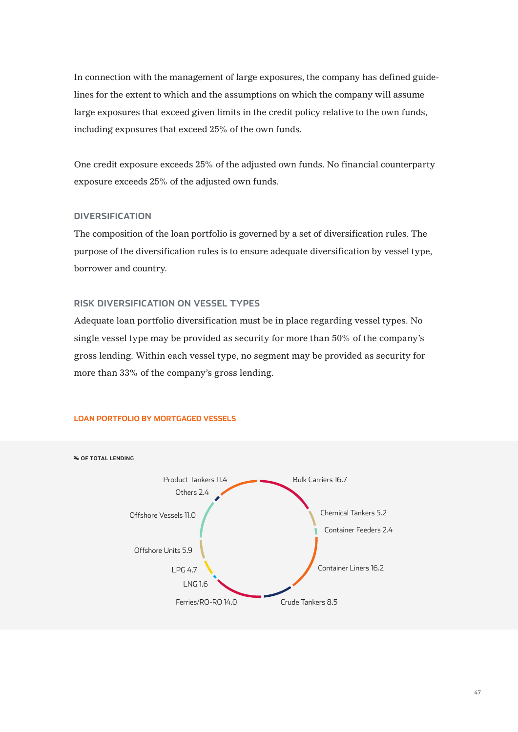In connection with the management of large exposures, the company has defined guidelines for the extent to which and the assumptions on which the company will assume large exposures that exceed given limits in the credit policy relative to the own funds, including exposures that exceed 25% of the own funds.

One credit exposure exceeds 25% of the adjusted own funds. No financial counterparty exposure exceeds 25% of the adjusted own funds.

## **DIVERSIFICATION**

The composition of the loan portfolio is governed by a set of diversification rules. The purpose of the diversification rules is to ensure adequate diversification by vessel type, borrower and country.

## **RISK DIVERSIFICATION ON VESSEL TYPES**

Adequate loan portfolio diversification must be in place regarding vessel types. No single vessel type may be provided as security for more than 50% of the company's gross lending. Within each vessel type, no segment may be provided as security for more than 33% of the company's gross lending.



#### **LOAN PORTFOLIO BY MORTGAGED VESSELS**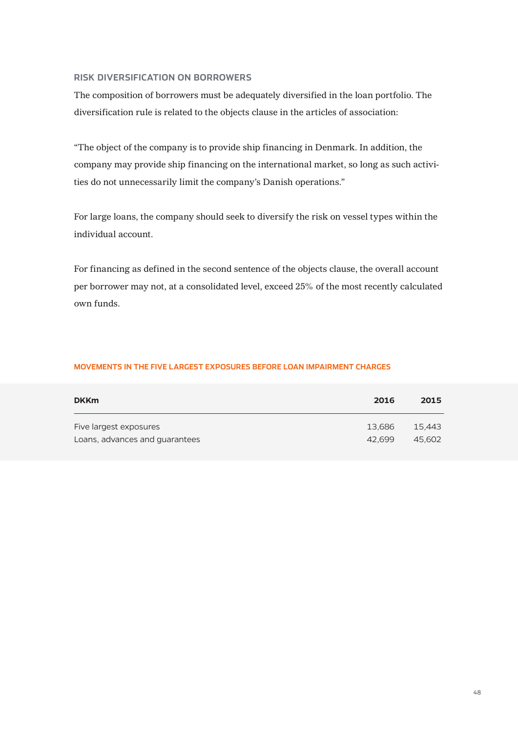## **RISK DIVERSIFICATION ON BORROWERS**

The composition of borrowers must be adequately diversified in the loan portfolio. The diversification rule is related to the objects clause in the articles of association:

"The object of the company is to provide ship financing in Denmark. In addition, the company may provide ship financing on the international market, so long as such activities do not unnecessarily limit the company's Danish operations."

For large loans, the company should seek to diversify the risk on vessel types within the individual account.

For financing as defined in the second sentence of the objects clause, the overall account per borrower may not, at a consolidated level, exceed 25% of the most recently calculated own funds.

## **MOVEMENTS IN THE FIVE LARGEST EXPOSURES BEFORE LOAN IMPAIRMENT CHARGES**

| <b>DKKm</b>                    | 2016   | 2015   |
|--------------------------------|--------|--------|
| Five largest exposures         | 13.686 | 15.443 |
| Loans, advances and guarantees | 42.699 | 45.602 |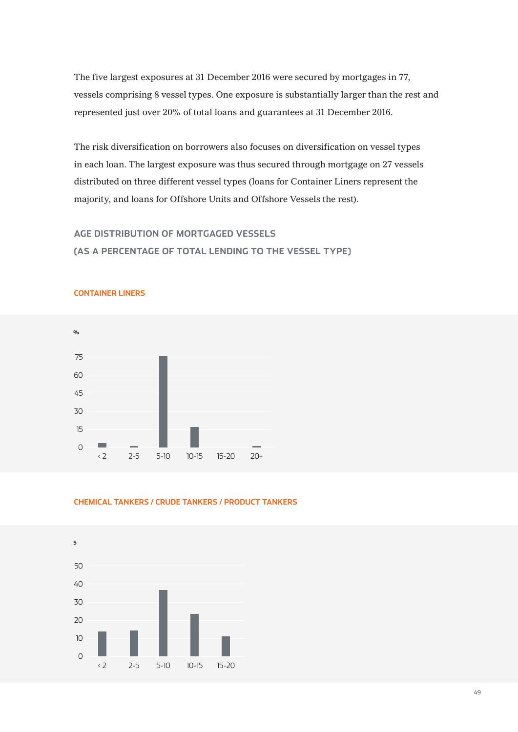The five largest exposures at 31 December 2016 were secured by mortgages in 77, vessels comprising 8 vessel types. One exposure is substantially larger than the rest and represented just over 20% of total loans and guarantees at 31 December 2016.

The risk diversification on borrowers also focuses on diversification on vessel types in each loan. The largest exposure was thus secured through mortgage on 27 vessels distributed on three different vessel types (loans for Container Liners represent the majority, and loans for Offshore Units and Offshore Vessels the rest).

## **AGE DISTRIBUTION OF MORTGAGED VESSELS**

**CONTAINER LINERS**

**(AS A PERCENTAGE OF TOTAL LENDING TO THE VESSEL TYPE)**





#### **CHEMICAL TANKERS / CRUDE TANKERS / PRODUCT TANKERS**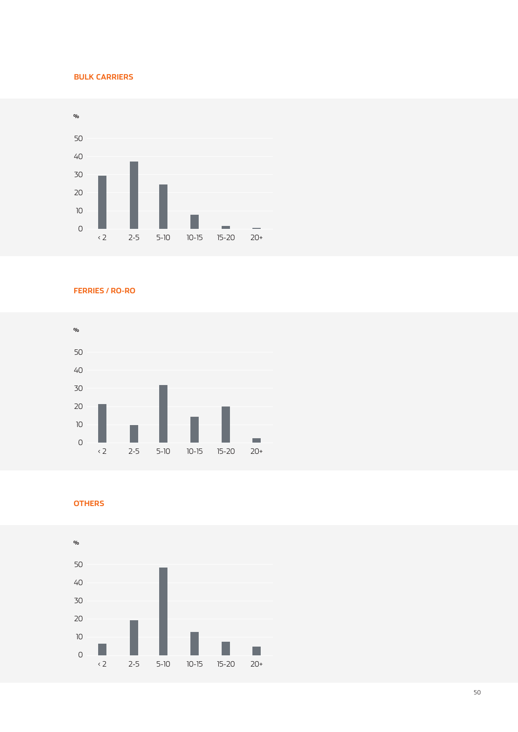## **BULK CARRIERS**



**FERRIES / RO-RO**



**OTHERS**

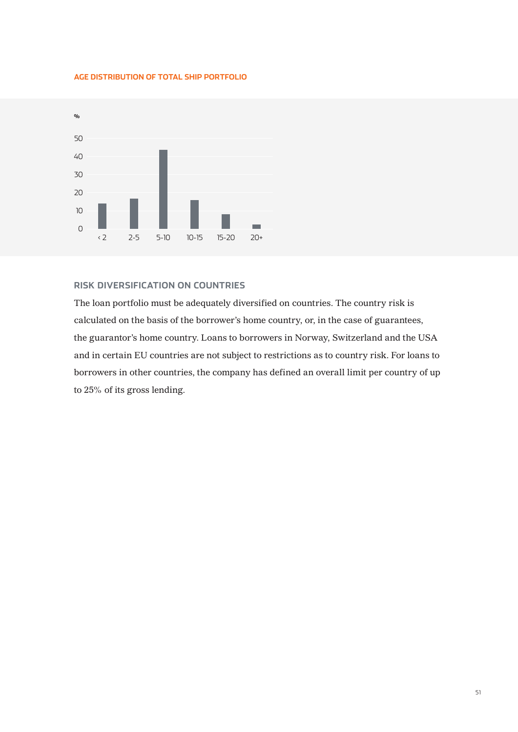## **AGE DISTRIBUTION OF TOTAL SHIP PORTFOLIO**



## **RISK DIVERSIFICATION ON COUNTRIES**

The loan portfolio must be adequately diversified on countries. The country risk is calculated on the basis of the borrower's home country, or, in the case of guarantees, the guarantor's home country. Loans to borrowers in Norway, Switzerland and the USA and in certain EU countries are not subject to restrictions as to country risk. For loans to borrowers in other countries, the company has defined an overall limit per country of up to 25% of its gross lending.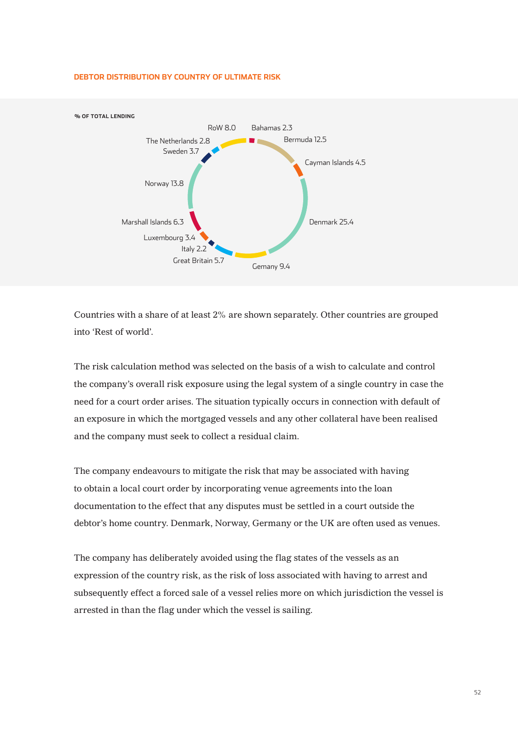

#### **DEBTOR DISTRIBUTION BY COUNTRY OF ULTIMATE RISK**

Countries with a share of at least 2% are shown separately. Other countries are grouped into 'Rest of world'.

The risk calculation method was selected on the basis of a wish to calculate and control the company's overall risk exposure using the legal system of a single country in case the need for a court order arises. The situation typically occurs in connection with default of an exposure in which the mortgaged vessels and any other collateral have been realised and the company must seek to collect a residual claim.

The company endeavours to mitigate the risk that may be associated with having to obtain a local court order by incorporating venue agreements into the loan documentation to the effect that any disputes must be settled in a court outside the debtor's home country. Denmark, Norway, Germany or the UK are often used as venues.

The company has deliberately avoided using the flag states of the vessels as an expression of the country risk, as the risk of loss associated with having to arrest and subsequently effect a forced sale of a vessel relies more on which jurisdiction the vessel is arrested in than the flag under which the vessel is sailing.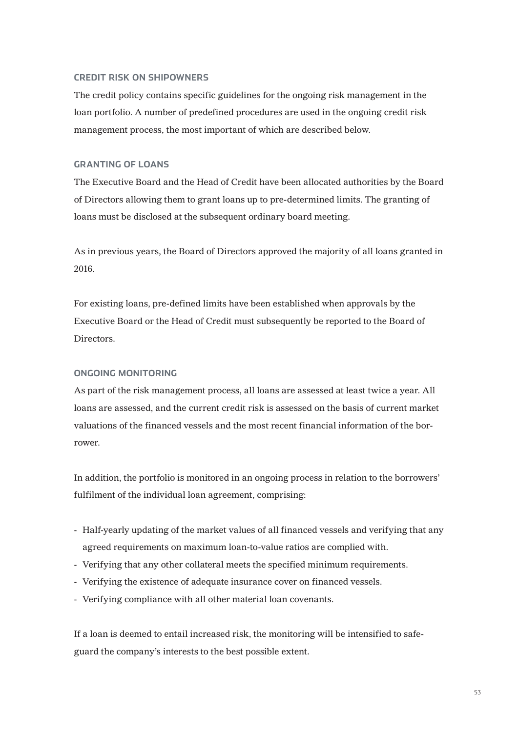## **CREDIT RISK ON SHIPOWNERS**

The credit policy contains specific guidelines for the ongoing risk management in the loan portfolio. A number of predefined procedures are used in the ongoing credit risk management process, the most important of which are described below.

## **GRANTING OF LOANS**

The Executive Board and the Head of Credit have been allocated authorities by the Board of Directors allowing them to grant loans up to pre-determined limits. The granting of loans must be disclosed at the subsequent ordinary board meeting.

As in previous years, the Board of Directors approved the majority of all loans granted in 2016.

For existing loans, pre-defined limits have been established when approvals by the Executive Board or the Head of Credit must subsequently be reported to the Board of Directors.

## **ONGOING MONITORING**

As part of the risk management process, all loans are assessed at least twice a year. All loans are assessed, and the current credit risk is assessed on the basis of current market valuations of the financed vessels and the most recent financial information of the borrower.

In addition, the portfolio is monitored in an ongoing process in relation to the borrowers' fulfilment of the individual loan agreement, comprising:

- Half-yearly updating of the market values of all financed vessels and verifying that any agreed requirements on maximum loan-to-value ratios are complied with.
- Verifying that any other collateral meets the specified minimum requirements.
- Verifying the existence of adequate insurance cover on financed vessels.
- Verifying compliance with all other material loan covenants.

If a loan is deemed to entail increased risk, the monitoring will be intensified to safeguard the company's interests to the best possible extent.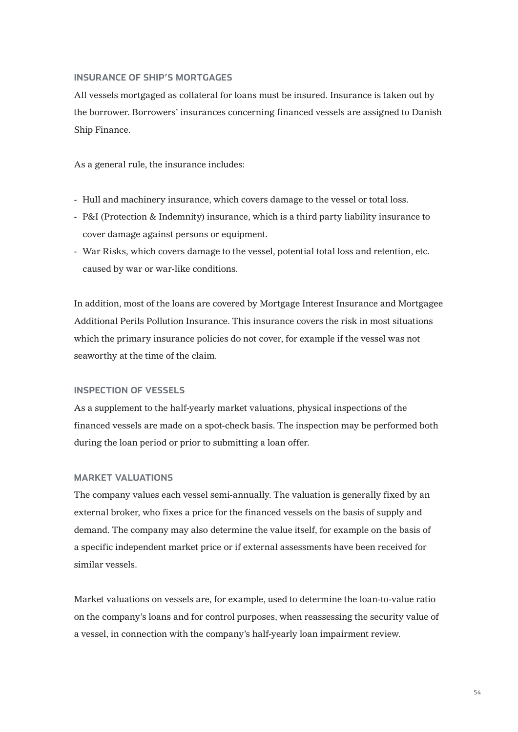## **INSURANCE OF SHIP'S MORTGAGES**

All vessels mortgaged as collateral for loans must be insured. Insurance is taken out by the borrower. Borrowers' insurances concerning financed vessels are assigned to Danish Ship Finance.

As a general rule, the insurance includes:

- Hull and machinery insurance, which covers damage to the vessel or total loss.
- P&I (Protection & Indemnity) insurance, which is a third party liability insurance to cover damage against persons or equipment.
- War Risks, which covers damage to the vessel, potential total loss and retention, etc. caused by war or war-like conditions.

In addition, most of the loans are covered by Mortgage Interest Insurance and Mortgagee Additional Perils Pollution Insurance. This insurance covers the risk in most situations which the primary insurance policies do not cover, for example if the vessel was not seaworthy at the time of the claim.

#### **INSPECTION OF VESSELS**

As a supplement to the half-yearly market valuations, physical inspections of the financed vessels are made on a spot-check basis. The inspection may be performed both during the loan period or prior to submitting a loan offer.

### **MARKET VALUATIONS**

The company values each vessel semi-annually. The valuation is generally fixed by an external broker, who fixes a price for the financed vessels on the basis of supply and demand. The company may also determine the value itself, for example on the basis of a specific independent market price or if external assessments have been received for similar vessels.

Market valuations on vessels are, for example, used to determine the loan-to-value ratio on the company's loans and for control purposes, when reassessing the security value of a vessel, in connection with the company's half-yearly loan impairment review.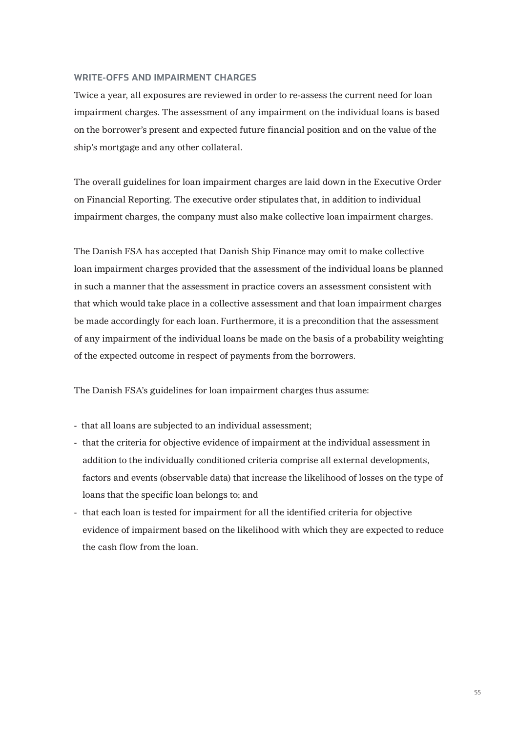## **WRITE-OFFS AND IMPAIRMENT CHARGES**

Twice a year, all exposures are reviewed in order to re-assess the current need for loan impairment charges. The assessment of any impairment on the individual loans is based on the borrower's present and expected future financial position and on the value of the ship's mortgage and any other collateral.

The overall guidelines for loan impairment charges are laid down in the Executive Order on Financial Reporting. The executive order stipulates that, in addition to individual impairment charges, the company must also make collective loan impairment charges.

The Danish FSA has accepted that Danish Ship Finance may omit to make collective loan impairment charges provided that the assessment of the individual loans be planned in such a manner that the assessment in practice covers an assessment consistent with that which would take place in a collective assessment and that loan impairment charges be made accordingly for each loan. Furthermore, it is a precondition that the assessment of any impairment of the individual loans be made on the basis of a probability weighting of the expected outcome in respect of payments from the borrowers.

The Danish FSA's guidelines for loan impairment charges thus assume:

- that all loans are subjected to an individual assessment;
- that the criteria for objective evidence of impairment at the individual assessment in addition to the individually conditioned criteria comprise all external developments, factors and events (observable data) that increase the likelihood of losses on the type of loans that the specific loan belongs to; and
- that each loan is tested for impairment for all the identified criteria for objective evidence of impairment based on the likelihood with which they are expected to reduce the cash flow from the loan.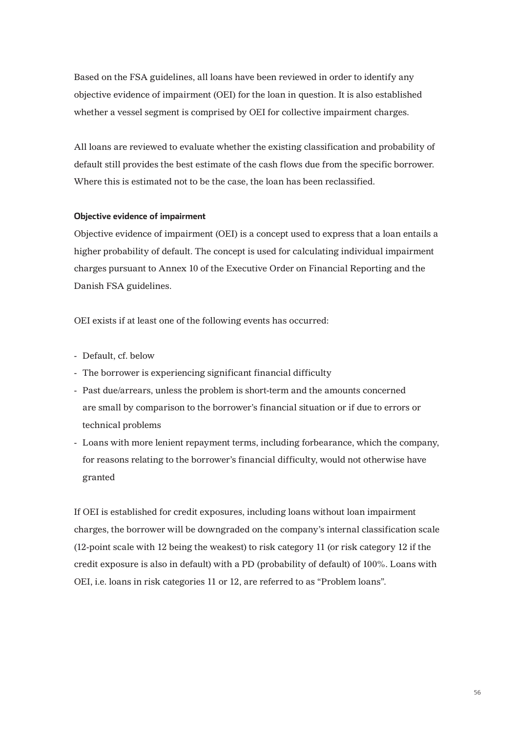Based on the FSA guidelines, all loans have been reviewed in order to identify any objective evidence of impairment (OEI) for the loan in question. It is also established whether a vessel segment is comprised by OEI for collective impairment charges.

All loans are reviewed to evaluate whether the existing classification and probability of default still provides the best estimate of the cash flows due from the specific borrower. Where this is estimated not to be the case, the loan has been reclassified.

#### **Objective evidence of impairment**

Objective evidence of impairment (OEI) is a concept used to express that a loan entails a higher probability of default. The concept is used for calculating individual impairment charges pursuant to Annex 10 of the Executive Order on Financial Reporting and the Danish FSA guidelines.

OEI exists if at least one of the following events has occurred:

- Default, cf. below
- The borrower is experiencing significant financial difficulty
- Past due/arrears, unless the problem is short-term and the amounts concerned are small by comparison to the borrower's financial situation or if due to errors or technical problems
- Loans with more lenient repayment terms, including forbearance, which the company, for reasons relating to the borrower's financial difficulty, would not otherwise have granted

If OEI is established for credit exposures, including loans without loan impairment charges, the borrower will be downgraded on the company's internal classification scale (12-point scale with 12 being the weakest) to risk category 11 (or risk category 12 if the credit exposure is also in default) with a PD (probability of default) of 100%. Loans with OEI, i.e. loans in risk categories 11 or 12, are referred to as "Problem loans".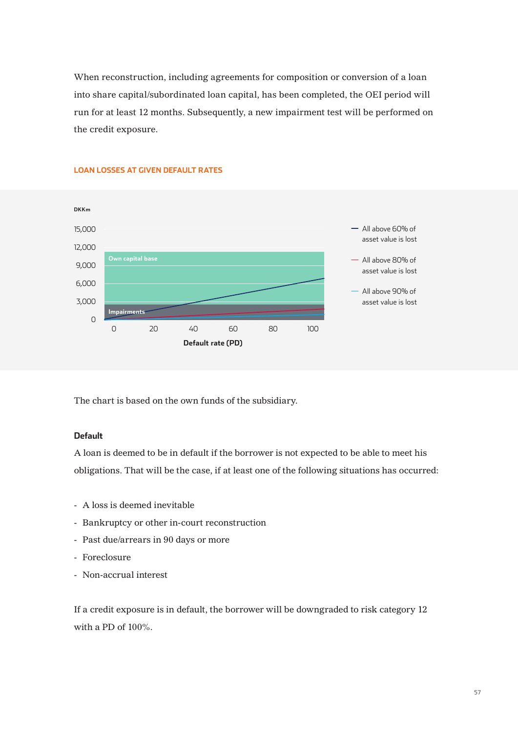When reconstruction, including agreements for composition or conversion of a loan into share capital/subordinated loan capital, has been completed, the OEI period will run for at least 12 months. Subsequently, a new impairment test will be performed on the credit exposure.



## **LOAN LOSSES AT GIVEN DEFAULT RATES**

The chart is based on the own funds of the subsidiary.

## **Default**

A loan is deemed to be in default if the borrower is not expected to be able to meet his obligations. That will be the case, if at least one of the following situations has occurred:

- A loss is deemed inevitable
- Bankruptcy or other in-court reconstruction
- Past due/arrears in 90 days or more
- Foreclosure
- Non-accrual interest

If a credit exposure is in default, the borrower will be downgraded to risk category 12 with a PD of 100%.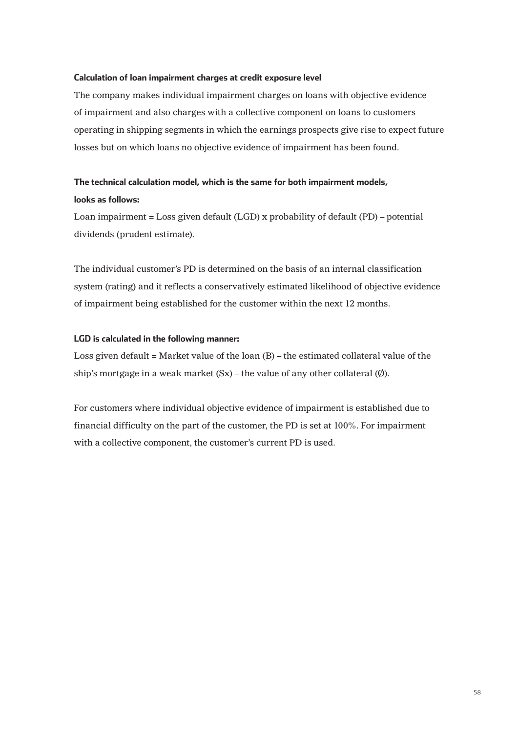## **Calculation of loan impairment charges at credit exposure level**

The company makes individual impairment charges on loans with objective evidence of impairment and also charges with a collective component on loans to customers operating in shipping segments in which the earnings prospects give rise to expect future losses but on which loans no objective evidence of impairment has been found.

## **The technical calculation model, which is the same for both impairment models, looks as follows:**

Loan impairment = Loss given default (LGD) x probability of default (PD) – potential dividends (prudent estimate).

The individual customer's PD is determined on the basis of an internal classification system (rating) and it reflects a conservatively estimated likelihood of objective evidence of impairment being established for the customer within the next 12 months.

## **LGD is calculated in the following manner:**

Loss given default = Market value of the loan  $(B)$  – the estimated collateral value of the ship's mortgage in a weak market  $(Sx)$  – the value of any other collateral  $(\emptyset)$ .

For customers where individual objective evidence of impairment is established due to financial difficulty on the part of the customer, the PD is set at 100%. For impairment with a collective component, the customer's current PD is used.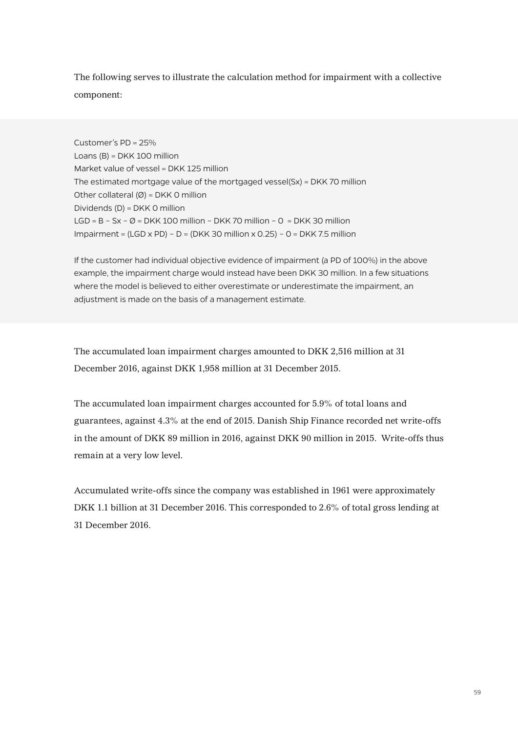The following serves to illustrate the calculation method for impairment with a collective component:

Customer's PD = 25% Loans (B) = DKK 100 million Market value of vessel = DKK 125 million The estimated mortgage value of the mortgaged vessel(Sx) = DKK 70 million Other collateral  $(\emptyset)$  = DKK 0 million Dividends (D) = DKK 0 million LGD =  $B - Sx - \emptyset$  = DKK 100 million – DKK 70 million – 0 = DKK 30 million Impairment =  $(LGD \times PD) - D = (DKK 30$  million  $\times$  0.25) - 0 = DKK 7.5 million

If the customer had individual objective evidence of impairment (a PD of 100%) in the above example, the impairment charge would instead have been DKK 30 million. In a few situations where the model is believed to either overestimate or underestimate the impairment, an adjustment is made on the basis of a management estimate.

The accumulated loan impairment charges amounted to DKK 2,516 million at 31 December 2016, against DKK 1,958 million at 31 December 2015.

The accumulated loan impairment charges accounted for 5.9% of total loans and guarantees, against 4.3% at the end of 2015. Danish Ship Finance recorded net write-offs in the amount of DKK 89 million in 2016, against DKK 90 million in 2015. Write-offs thus remain at a very low level.

Accumulated write-offs since the company was established in 1961 were approximately DKK 1.1 billion at 31 December 2016. This corresponded to 2.6% of total gross lending at 31 December 2016.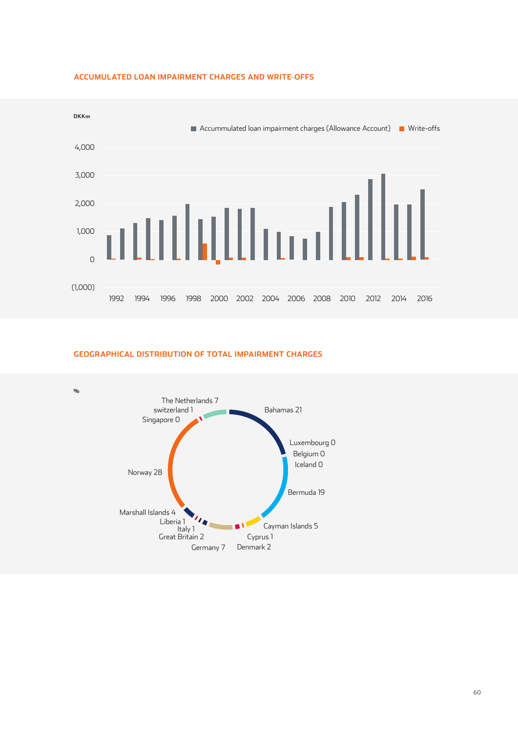

#### **ACCUMULATED LOAN IMPAIRMENT CHARGES AND WRITE-OFFS**

#### **GEOGRAPHICAL DISTRIBUTION OF TOTAL IMPAIRMENT CHARGES**

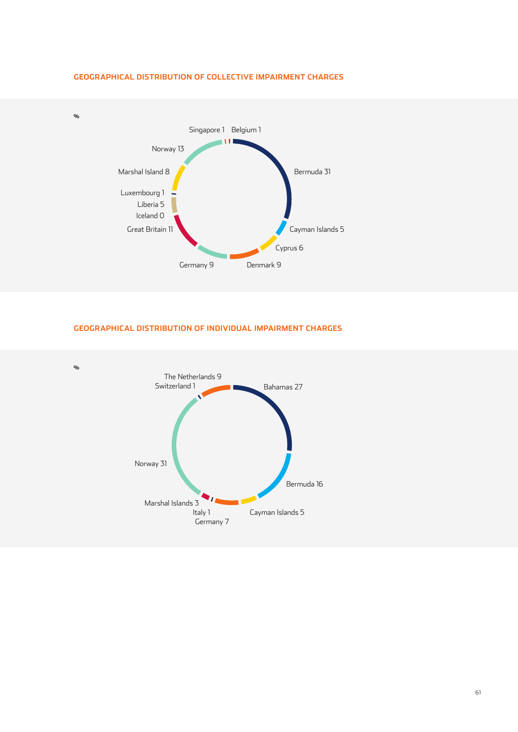

## **GEOGRAPHICAL DISTRIBUTION OF COLLECTIVE IMPAIRMENT CHARGES**

## **GEOGRAPHICAL DISTRIBUTION OF INDIVIDUAL IMPAIRMENT CHARGES**

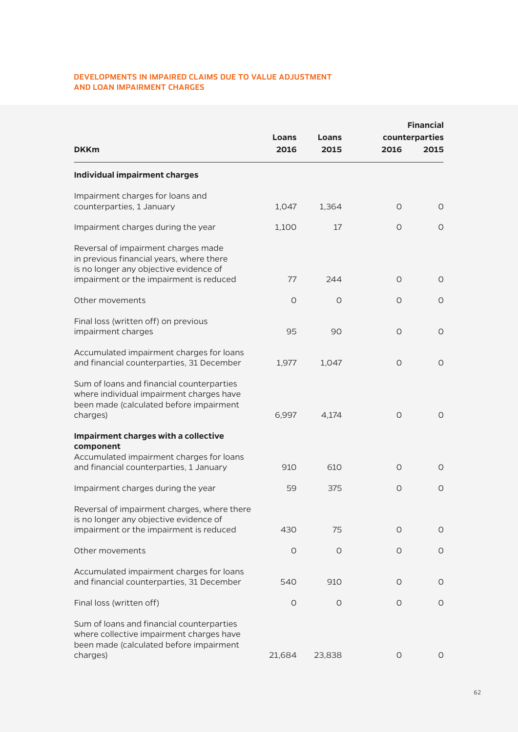## **DEVELOPMENTS IN IMPAIRED CLAIMS DUE TO VALUE ADJUSTMENT AND LOAN IMPAIRMENT CHARGES**

| <b>DKKm</b>                                                                                                                                                          | Loans<br>2016 | Loans<br>2015 | 2016 | <b>Financial</b><br>counterparties<br>2015 |
|----------------------------------------------------------------------------------------------------------------------------------------------------------------------|---------------|---------------|------|--------------------------------------------|
| <b>Individual impairment charges</b>                                                                                                                                 |               |               |      |                                            |
| Impairment charges for loans and<br>counterparties, 1 January                                                                                                        | 1,047         | 1,364         | O    | 0                                          |
| Impairment charges during the year                                                                                                                                   | 1,100         | 17            | O    | 0                                          |
| Reversal of impairment charges made<br>in previous financial years, where there<br>is no longer any objective evidence of<br>impairment or the impairment is reduced | 77            | 244           | O    | 0                                          |
| Other movements                                                                                                                                                      | O             | O             | O    | 0                                          |
| Final loss (written off) on previous<br>impairment charges                                                                                                           | 95            | 90            | O    | 0                                          |
| Accumulated impairment charges for loans<br>and financial counterparties, 31 December                                                                                | 1,977         | 1,047         | O    | $\circ$                                    |
| Sum of loans and financial counterparties<br>where individual impairment charges have<br>been made (calculated before impairment<br>charges)                         | 6,997         | 4,174         | O    | 0                                          |
| <b>Impairment charges with a collective</b><br>component                                                                                                             |               |               |      |                                            |
| Accumulated impairment charges for loans<br>and financial counterparties, 1 January                                                                                  | 910           | 610           | O    | 0                                          |
| Impairment charges during the year                                                                                                                                   | 59            | 375           | O    | O                                          |
| Reversal of impairment charges, where there<br>is no longer any objective evidence of<br>impairment or the impairment is reduced                                     | 430           | 75            | O    | O                                          |
| Other movements                                                                                                                                                      | O             | O             | O    | O                                          |
| Accumulated impairment charges for loans<br>and financial counterparties, 31 December                                                                                | 540           | 910           | O    | O                                          |
| Final loss (written off)                                                                                                                                             | O             | $\circ$       | O    | O                                          |
| Sum of loans and financial counterparties<br>where collective impairment charges have<br>been made (calculated before impairment<br>charges)                         | 21,684        | 23,838        | O    | O                                          |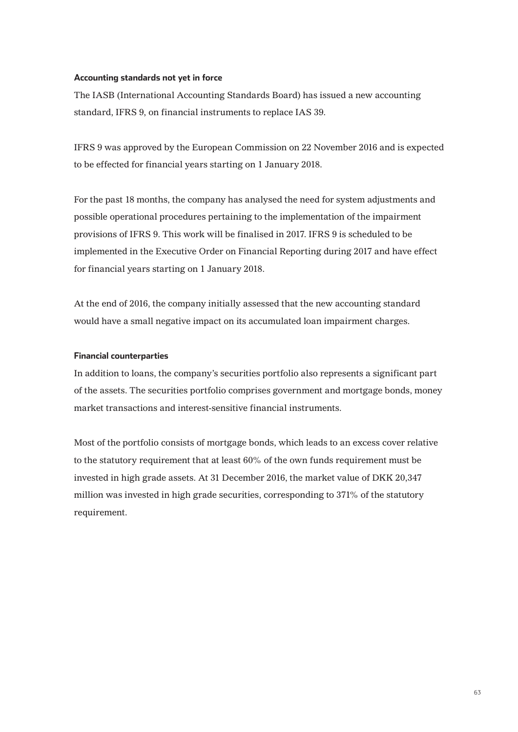## **Accounting standards not yet in force**

The IASB (International Accounting Standards Board) has issued a new accounting standard, IFRS 9, on financial instruments to replace IAS 39.

IFRS 9 was approved by the European Commission on 22 November 2016 and is expected to be effected for financial years starting on 1 January 2018.

For the past 18 months, the company has analysed the need for system adjustments and possible operational procedures pertaining to the implementation of the impairment provisions of IFRS 9. This work will be finalised in 2017. IFRS 9 is scheduled to be implemented in the Executive Order on Financial Reporting during 2017 and have effect for financial years starting on 1 January 2018.

At the end of 2016, the company initially assessed that the new accounting standard would have a small negative impact on its accumulated loan impairment charges.

## **Financial counterparties**

In addition to loans, the company's securities portfolio also represents a significant part of the assets. The securities portfolio comprises government and mortgage bonds, money market transactions and interest-sensitive financial instruments.

Most of the portfolio consists of mortgage bonds, which leads to an excess cover relative to the statutory requirement that at least 60% of the own funds requirement must be invested in high grade assets. At 31 December 2016, the market value of DKK 20,347 million was invested in high grade securities, corresponding to 371% of the statutory requirement.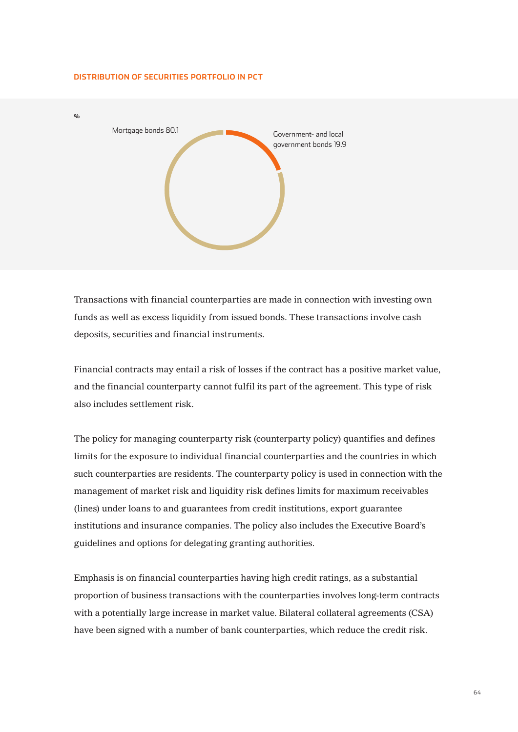#### **DISTRIBUTION OF SECURITIES PORTFOLIO IN PCT**



Transactions with financial counterparties are made in connection with investing own funds as well as excess liquidity from issued bonds. These transactions involve cash deposits, securities and financial instruments.

Financial contracts may entail a risk of losses if the contract has a positive market value, and the financial counterparty cannot fulfil its part of the agreement. This type of risk also includes settlement risk.

The policy for managing counterparty risk (counterparty policy) quantifies and defines limits for the exposure to individual financial counterparties and the countries in which such counterparties are residents. The counterparty policy is used in connection with the management of market risk and liquidity risk defines limits for maximum receivables (lines) under loans to and guarantees from credit institutions, export guarantee institutions and insurance companies. The policy also includes the Executive Board's guidelines and options for delegating granting authorities.

Emphasis is on financial counterparties having high credit ratings, as a substantial proportion of business transactions with the counterparties involves long-term contracts with a potentially large increase in market value. Bilateral collateral agreements (CSA) have been signed with a number of bank counterparties, which reduce the credit risk.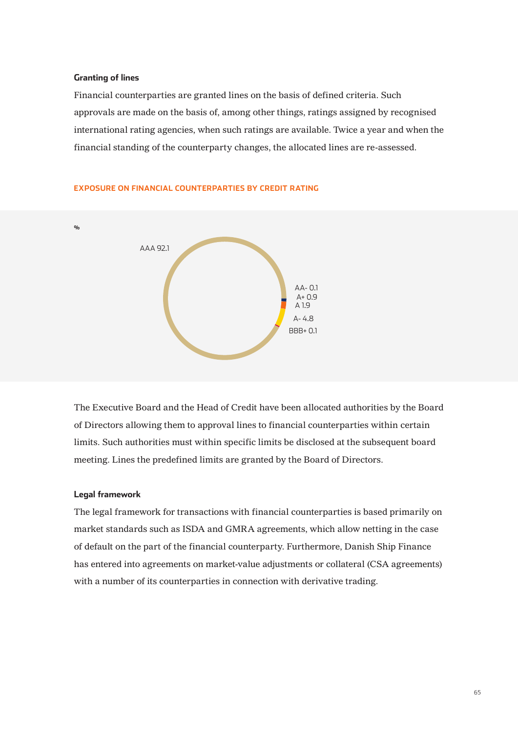#### **Granting of lines**

Financial counterparties are granted lines on the basis of defined criteria. Such approvals are made on the basis of, among other things, ratings assigned by recognised international rating agencies, when such ratings are available. Twice a year and when the financial standing of the counterparty changes, the allocated lines are re-assessed.



#### **EXPOSURE ON FINANCIAL COUNTERPARTIES BY CREDIT RATING**

The Executive Board and the Head of Credit have been allocated authorities by the Board of Directors allowing them to approval lines to financial counterparties within certain limits. Such authorities must within specific limits be disclosed at the subsequent board meeting. Lines the predefined limits are granted by the Board of Directors.

#### **Legal framework**

The legal framework for transactions with financial counterparties is based primarily on market standards such as ISDA and GMRA agreements, which allow netting in the case of default on the part of the financial counterparty. Furthermore, Danish Ship Finance has entered into agreements on market-value adjustments or collateral (CSA agreements) with a number of its counterparties in connection with derivative trading.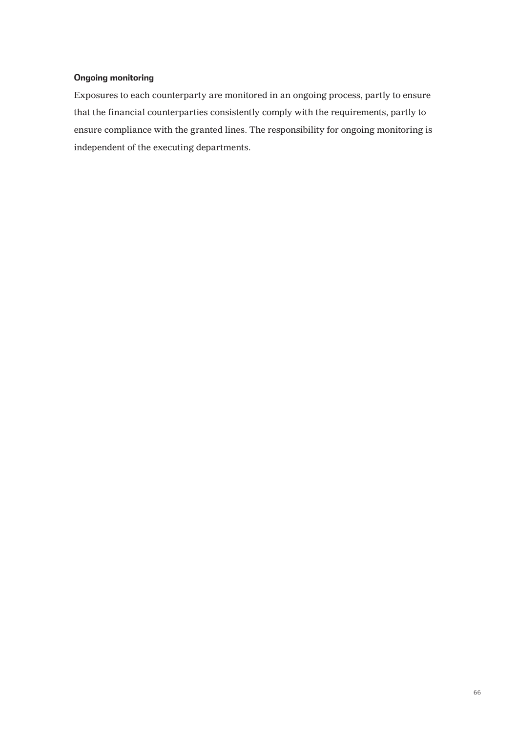## **Ongoing monitoring**

Exposures to each counterparty are monitored in an ongoing process, partly to ensure that the financial counterparties consistently comply with the requirements, partly to ensure compliance with the granted lines. The responsibility for ongoing monitoring is independent of the executing departments.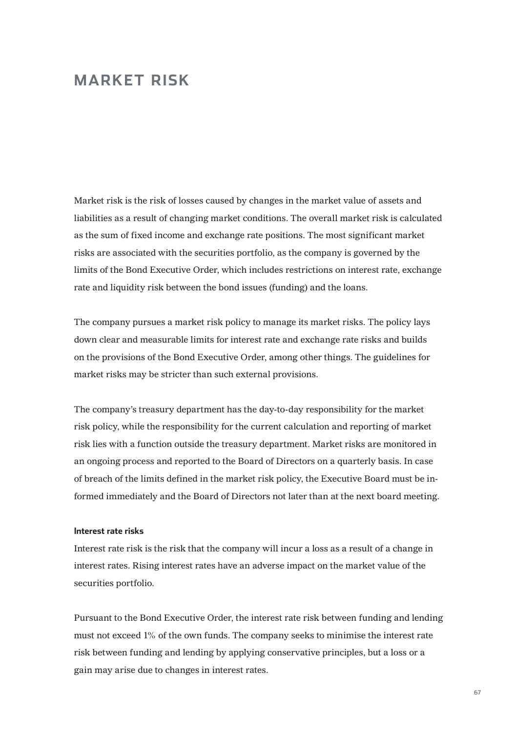## **MARKET RISK**

Market risk is the risk of losses caused by changes in the market value of assets and liabilities as a result of changing market conditions. The overall market risk is calculated as the sum of fixed income and exchange rate positions. The most significant market risks are associated with the securities portfolio, as the company is governed by the limits of the Bond Executive Order, which includes restrictions on interest rate, exchange rate and liquidity risk between the bond issues (funding) and the loans.

The company pursues a market risk policy to manage its market risks. The policy lays down clear and measurable limits for interest rate and exchange rate risks and builds on the provisions of the Bond Executive Order, among other things. The guidelines for market risks may be stricter than such external provisions.

The company's treasury department has the day-to-day responsibility for the market risk policy, while the responsibility for the current calculation and reporting of market risk lies with a function outside the treasury department. Market risks are monitored in an ongoing process and reported to the Board of Directors on a quarterly basis. In case of breach of the limits defined in the market risk policy, the Executive Board must be informed immediately and the Board of Directors not later than at the next board meeting.

## **Interest rate risks**

Interest rate risk is the risk that the company will incur a loss as a result of a change in interest rates. Rising interest rates have an adverse impact on the market value of the securities portfolio.

Pursuant to the Bond Executive Order, the interest rate risk between funding and lending must not exceed 1% of the own funds. The company seeks to minimise the interest rate risk between funding and lending by applying conservative principles, but a loss or a gain may arise due to changes in interest rates.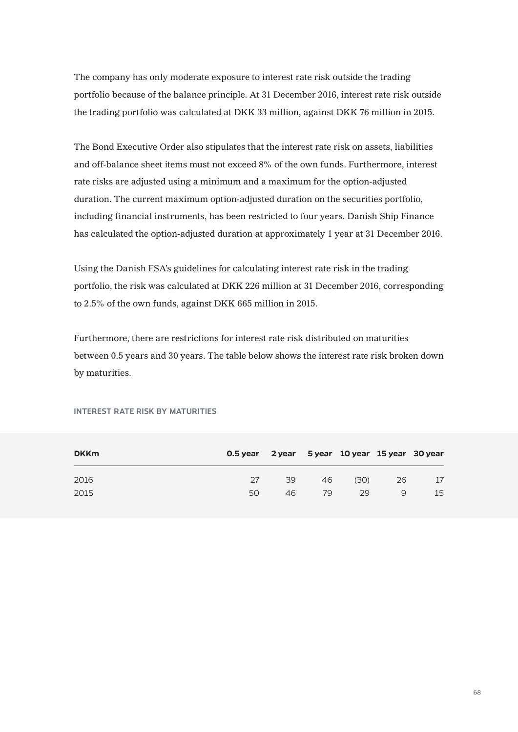The company has only moderate exposure to interest rate risk outside the trading portfolio because of the balance principle. At 31 December 2016, interest rate risk outside the trading portfolio was calculated at DKK 33 million, against DKK 76 million in 2015.

The Bond Executive Order also stipulates that the interest rate risk on assets, liabilities and off-balance sheet items must not exceed 8% of the own funds. Furthermore, interest rate risks are adjusted using a minimum and a maximum for the option-adjusted duration. The current maximum option-adjusted duration on the securities portfolio, including financial instruments, has been restricted to four years. Danish Ship Finance has calculated the option-adjusted duration at approximately 1 year at 31 December 2016.

Using the Danish FSA's guidelines for calculating interest rate risk in the trading portfolio, the risk was calculated at DKK 226 million at 31 December 2016, corresponding to 2.5% of the own funds, against DKK 665 million in 2015.

Furthermore, there are restrictions for interest rate risk distributed on maturities between 0.5 years and 30 years. The table below shows the interest rate risk broken down by maturities.

| <b>DKKm</b> | 0.5 year 2 year 5 year 10 year 15 year 30 year |    |    |      |    |    |
|-------------|------------------------------------------------|----|----|------|----|----|
| 2016        | 27                                             | 39 | 46 | (30) | 26 | 17 |
| 2015        | 50                                             | 46 | 79 | 29   | 9  | 15 |

#### **INTEREST RATE RISK BY MATURITIES**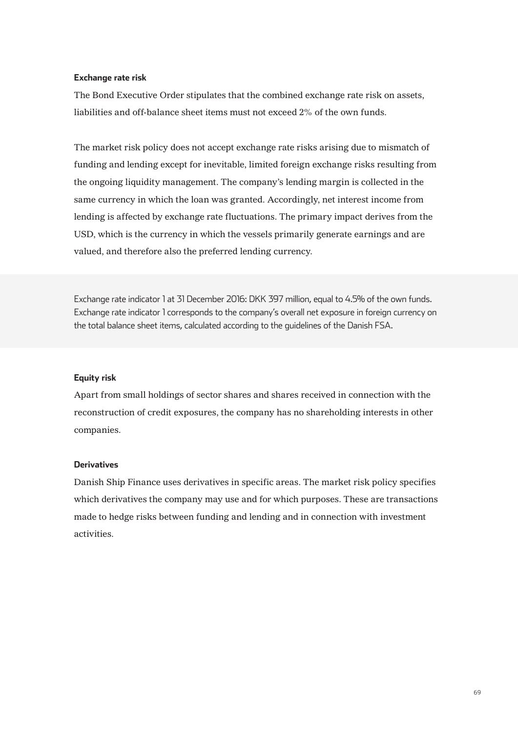## **Exchange rate risk**

The Bond Executive Order stipulates that the combined exchange rate risk on assets, liabilities and off-balance sheet items must not exceed 2% of the own funds.

The market risk policy does not accept exchange rate risks arising due to mismatch of funding and lending except for inevitable, limited foreign exchange risks resulting from the ongoing liquidity management. The company's lending margin is collected in the same currency in which the loan was granted. Accordingly, net interest income from lending is affected by exchange rate fluctuations. The primary impact derives from the USD, which is the currency in which the vessels primarily generate earnings and are valued, and therefore also the preferred lending currency.

Exchange rate indicator 1 at 31 December 2016: DKK 397 million, equal to 4.5% of the own funds. Exchange rate indicator 1 corresponds to the company's overall net exposure in foreign currency on the total balance sheet items, calculated according to the guidelines of the Danish FSA.

#### **Equity risk**

Apart from small holdings of sector shares and shares received in connection with the reconstruction of credit exposures, the company has no shareholding interests in other companies.

## **Derivatives**

Danish Ship Finance uses derivatives in specific areas. The market risk policy specifies which derivatives the company may use and for which purposes. These are transactions made to hedge risks between funding and lending and in connection with investment activities.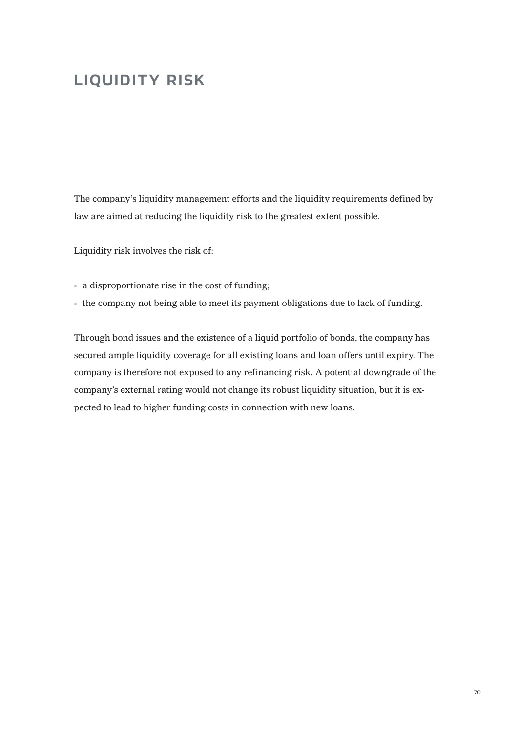# **LIQUIDITY RISK**

The company's liquidity management efforts and the liquidity requirements defined by law are aimed at reducing the liquidity risk to the greatest extent possible.

Liquidity risk involves the risk of:

- a disproportionate rise in the cost of funding;
- the company not being able to meet its payment obligations due to lack of funding.

Through bond issues and the existence of a liquid portfolio of bonds, the company has secured ample liquidity coverage for all existing loans and loan offers until expiry. The company is therefore not exposed to any refinancing risk. A potential downgrade of the company's external rating would not change its robust liquidity situation, but it is expected to lead to higher funding costs in connection with new loans.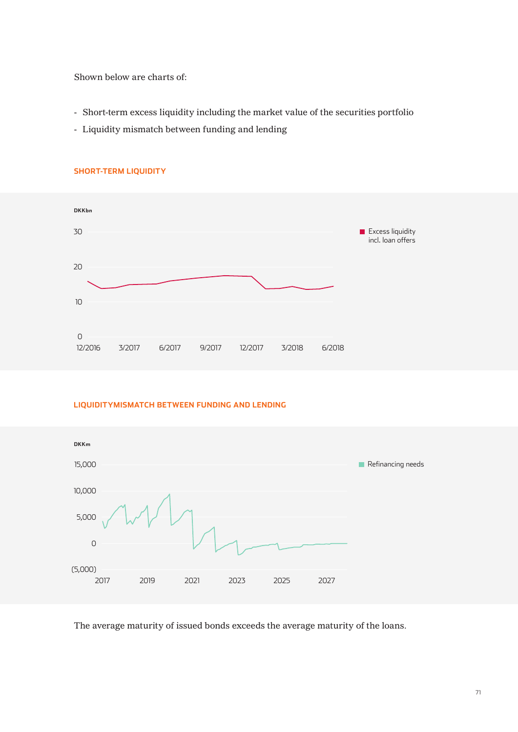Shown below are charts of:

- Short-term excess liquidity including the market value of the securities portfolio
- Liquidity mismatch between funding and lending



## **SHORT-TERM LIQUIDITY**

## **LIQUIDITYMISMATCH BETWEEN FUNDING AND LENDING**



The average maturity of issued bonds exceeds the average maturity of the loans.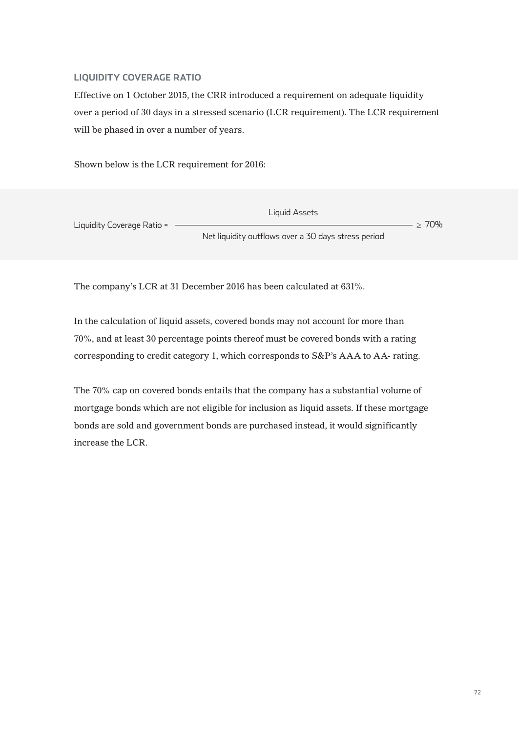## **LIQUIDITY COVERAGE RATIO**

Effective on 1 October 2015, the CRR introduced a requirement on adequate liquidity over a period of 30 days in a stressed scenario (LCR requirement). The LCR requirement will be phased in over a number of years.

Shown below is the LCR requirement for 2016:

Net liquidity outflows over a 30 days stress period Liquidity Coverage Ratio = Liquid Assets  $- > 70%$ 

The company's LCR at 31 December 2016 has been calculated at 631%.

In the calculation of liquid assets, covered bonds may not account for more than 70%, and at least 30 percentage points thereof must be covered bonds with a rating corresponding to credit category 1, which corresponds to S&P's AAA to AA- rating.

The 70% cap on covered bonds entails that the company has a substantial volume of mortgage bonds which are not eligible for inclusion as liquid assets. If these mortgage bonds are sold and government bonds are purchased instead, it would significantly increase the LCR.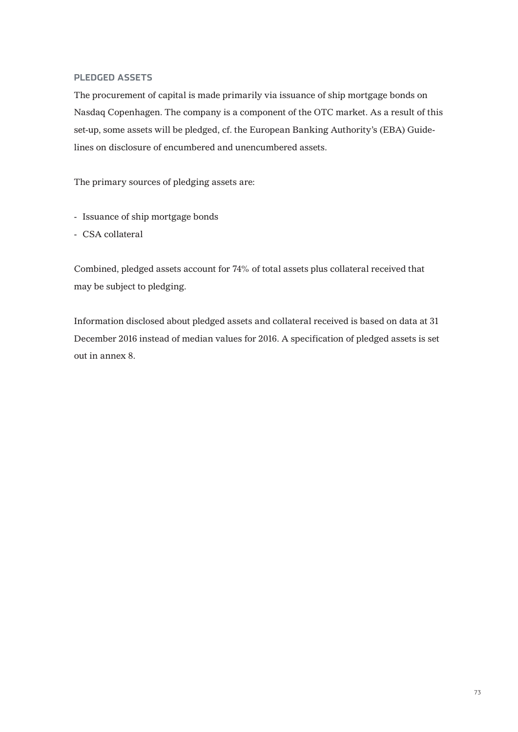#### **PLEDGED ASSETS**

The procurement of capital is made primarily via issuance of ship mortgage bonds on Nasdaq Copenhagen. The company is a component of the OTC market. As a result of this set-up, some assets will be pledged, cf. the European Banking Authority's (EBA) Guidelines on disclosure of encumbered and unencumbered assets.

The primary sources of pledging assets are:

- Issuance of ship mortgage bonds
- CSA collateral

Combined, pledged assets account for 74% of total assets plus collateral received that may be subject to pledging.

Information disclosed about pledged assets and collateral received is based on data at 31 December 2016 instead of median values for 2016. A specification of pledged assets is set out in annex 8.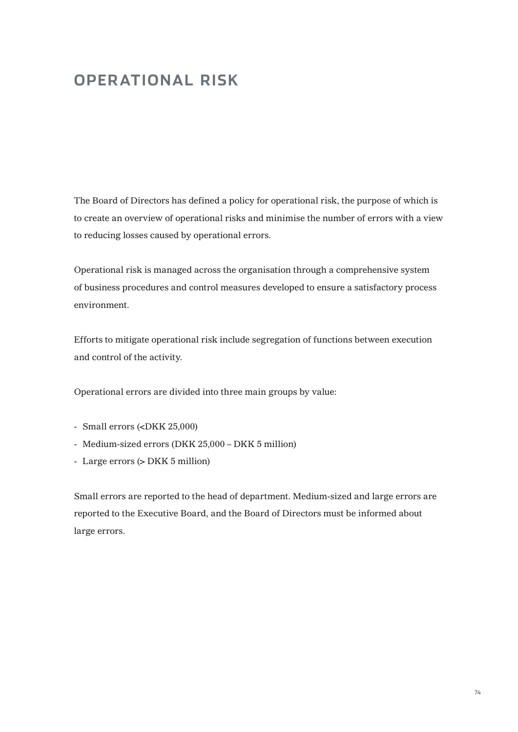# **OPERATIONAL RISK**

The Board of Directors has defined a policy for operational risk, the purpose of which is to create an overview of operational risks and minimise the number of errors with a view to reducing losses caused by operational errors.

Operational risk is managed across the organisation through a comprehensive system of business procedures and control measures developed to ensure a satisfactory process environment.

Efforts to mitigate operational risk include segregation of functions between execution and control of the activity.

Operational errors are divided into three main groups by value:

- Small errors (<DKK 25,000)
- Medium-sized errors (DKK 25,000 DKK 5 million)
- Large errors (> DKK 5 million)

Small errors are reported to the head of department. Medium-sized and large errors are reported to the Executive Board, and the Board of Directors must be informed about large errors.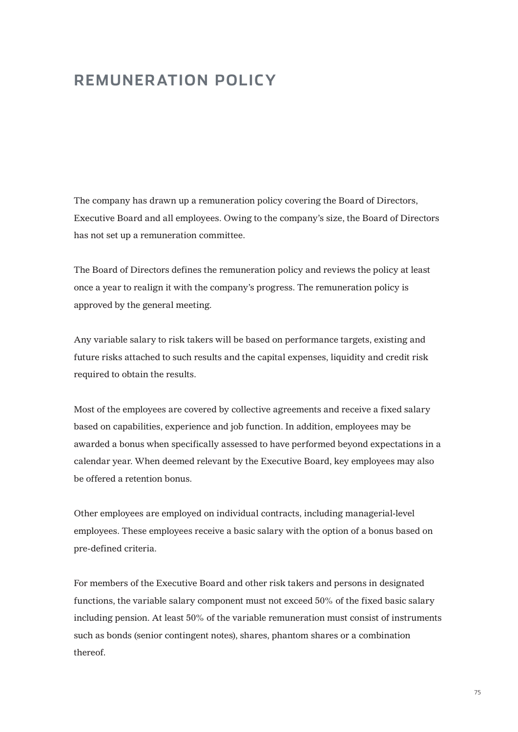## **REMUNERATION POLICY**

The company has drawn up a remuneration policy covering the Board of Directors, Executive Board and all employees. Owing to the company's size, the Board of Directors has not set up a remuneration committee.

The Board of Directors defines the remuneration policy and reviews the policy at least once a year to realign it with the company's progress. The remuneration policy is approved by the general meeting.

Any variable salary to risk takers will be based on performance targets, existing and future risks attached to such results and the capital expenses, liquidity and credit risk required to obtain the results.

Most of the employees are covered by collective agreements and receive a fixed salary based on capabilities, experience and job function. In addition, employees may be awarded a bonus when specifically assessed to have performed beyond expectations in a calendar year. When deemed relevant by the Executive Board, key employees may also be offered a retention bonus.

Other employees are employed on individual contracts, including managerial-level employees. These employees receive a basic salary with the option of a bonus based on pre-defined criteria.

For members of the Executive Board and other risk takers and persons in designated functions, the variable salary component must not exceed 50% of the fixed basic salary including pension. At least 50% of the variable remuneration must consist of instruments such as bonds (senior contingent notes), shares, phantom shares or a combination thereof.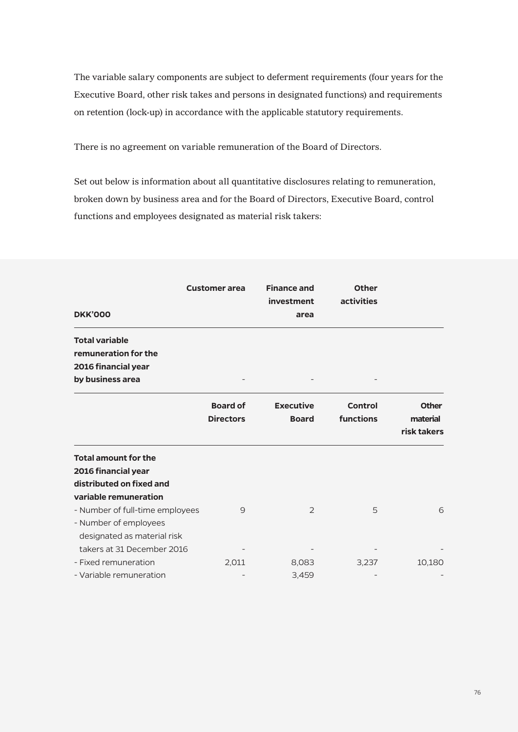The variable salary components are subject to deferment requirements (four years for the Executive Board, other risk takes and persons in designated functions) and requirements on retention (lock-up) in accordance with the applicable statutory requirements.

There is no agreement on variable remuneration of the Board of Directors.

Set out below is information about all quantitative disclosures relating to remuneration, broken down by business area and for the Board of Directors, Executive Board, control functions and employees designated as material risk takers:

| <b>DKK'000</b>                              | <b>Customer area</b> | <b>Finance and</b><br>investment<br>area | <b>Other</b><br>activities |              |
|---------------------------------------------|----------------------|------------------------------------------|----------------------------|--------------|
| <b>Total variable</b>                       |                      |                                          |                            |              |
| remuneration for the<br>2016 financial year |                      |                                          |                            |              |
| by business area                            |                      |                                          |                            |              |
|                                             | <b>Board of</b>      | <b>Executive</b>                         | <b>Control</b>             | <b>Other</b> |
|                                             | <b>Directors</b>     | <b>Board</b>                             | functions                  | material     |
|                                             |                      |                                          |                            | risk takers  |
| <b>Total amount for the</b>                 |                      |                                          |                            |              |
| 2016 financial year                         |                      |                                          |                            |              |
| distributed on fixed and                    |                      |                                          |                            |              |
| variable remuneration                       |                      |                                          |                            |              |
| - Number of full-time employees             | 9                    | $\overline{2}$                           | 5                          | 6            |
| - Number of employees                       |                      |                                          |                            |              |
| designated as material risk                 |                      |                                          |                            |              |
| takers at 31 December 2016                  |                      |                                          |                            |              |
| - Fixed remuneration                        | 2,011                | 8,083                                    | 3,237                      | 10,180       |
| - Variable remuneration                     |                      | 3,459                                    |                            |              |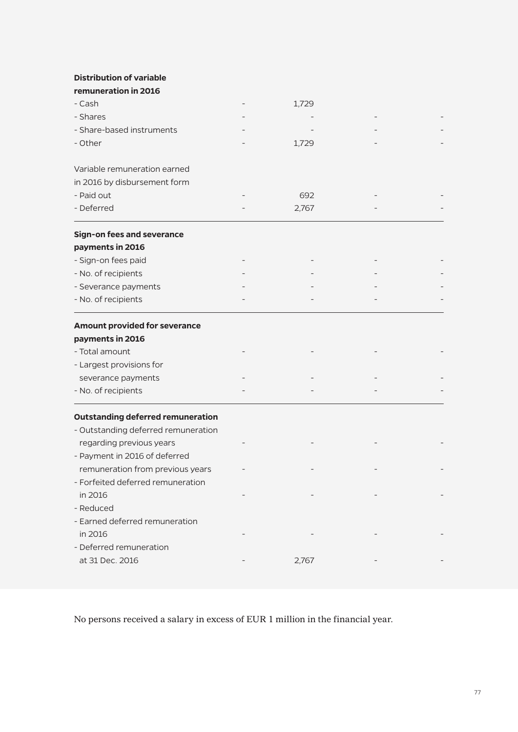**Distribution of variable** 

| remuneration in 2016                     |       |  |
|------------------------------------------|-------|--|
| - Cash                                   | 1,729 |  |
| - Shares                                 |       |  |
| - Share-based instruments                |       |  |
| - Other                                  | 1,729 |  |
| Variable remuneration earned             |       |  |
| in 2016 by disbursement form             |       |  |
| - Paid out                               | 692   |  |
| - Deferred                               | 2,767 |  |
| <b>Sign-on fees and severance</b>        |       |  |
| payments in 2016                         |       |  |
| - Sign-on fees paid                      |       |  |
| - No. of recipients                      |       |  |
| - Severance payments                     |       |  |
| - No. of recipients                      |       |  |
| <b>Amount provided for severance</b>     |       |  |
| payments in 2016                         |       |  |
| - Total amount                           |       |  |
| - Largest provisions for                 |       |  |
| severance payments                       |       |  |
| - No. of recipients                      |       |  |
| <b>Outstanding deferred remuneration</b> |       |  |
| - Outstanding deferred remuneration      |       |  |
| regarding previous years                 |       |  |
| - Payment in 2016 of deferred            |       |  |
| remuneration from previous years         |       |  |
| - Forfeited deferred remuneration        |       |  |
| in 2016                                  |       |  |
| - Reduced                                |       |  |
| - Earned deferred remuneration           |       |  |
| in 2016                                  |       |  |
| - Deferred remuneration                  |       |  |
| at 31 Dec. 2016                          | 2,767 |  |
|                                          |       |  |

No persons received a salary in excess of EUR 1 million in the financial year.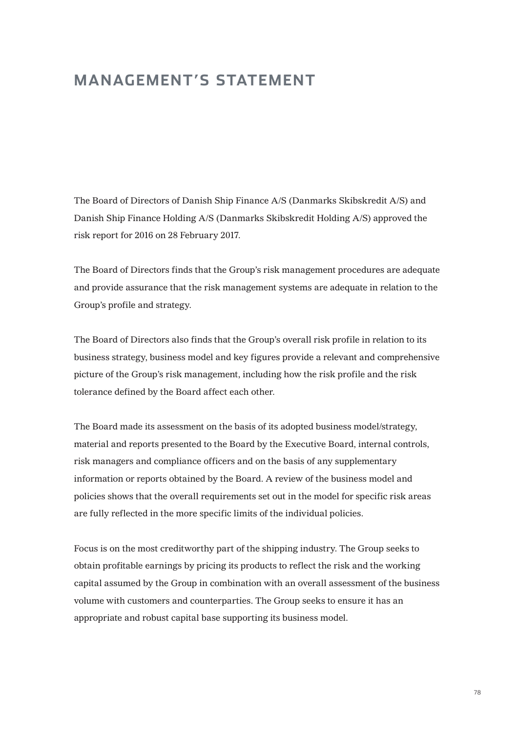## **MANAGEMENT'S STATEMENT**

The Board of Directors of Danish Ship Finance A/S (Danmarks Skibskredit A/S) and Danish Ship Finance Holding A/S (Danmarks Skibskredit Holding A/S) approved the risk report for 2016 on 28 February 2017.

The Board of Directors finds that the Group's risk management procedures are adequate and provide assurance that the risk management systems are adequate in relation to the Group's profile and strategy.

The Board of Directors also finds that the Group's overall risk profile in relation to its business strategy, business model and key figures provide a relevant and comprehensive picture of the Group's risk management, including how the risk profile and the risk tolerance defined by the Board affect each other.

The Board made its assessment on the basis of its adopted business model/strategy, material and reports presented to the Board by the Executive Board, internal controls, risk managers and compliance officers and on the basis of any supplementary information or reports obtained by the Board. A review of the business model and policies shows that the overall requirements set out in the model for specific risk areas are fully reflected in the more specific limits of the individual policies.

Focus is on the most creditworthy part of the shipping industry. The Group seeks to obtain profitable earnings by pricing its products to reflect the risk and the working capital assumed by the Group in combination with an overall assessment of the business volume with customers and counterparties. The Group seeks to ensure it has an appropriate and robust capital base supporting its business model.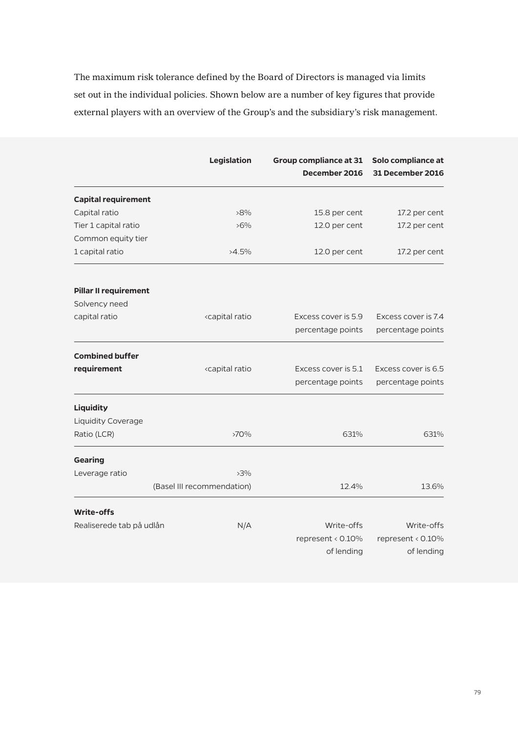The maximum risk tolerance defined by the Board of Directors is managed via limits set out in the individual policies. Shown below are a number of key figures that provide external players with an overview of the Group's and the subsidiary's risk management.

|                              | Legislation                                                                                 | <b>Group compliance at 31</b><br>December 2016 | Solo compliance at<br>31 December 2016 |
|------------------------------|---------------------------------------------------------------------------------------------|------------------------------------------------|----------------------------------------|
| <b>Capital requirement</b>   |                                                                                             |                                                |                                        |
| Capital ratio                | $>8\%$                                                                                      | 15.8 per cent                                  | 17.2 per cent                          |
| Tier 1 capital ratio         | $>6\%$                                                                                      | 12.0 per cent                                  | 17.2 per cent                          |
| Common equity tier           |                                                                                             |                                                |                                        |
| 1 capital ratio              | $>4.5\%$                                                                                    | 12.0 per cent                                  | 17.2 per cent                          |
| <b>Pillar II requirement</b> |                                                                                             |                                                |                                        |
| Solvency need                |                                                                                             |                                                |                                        |
| capital ratio                | <capital ratio<="" td=""><td>Excess cover is 5.9</td><td>Excess cover is 7.4</td></capital> | Excess cover is 5.9                            | Excess cover is 7.4                    |
|                              |                                                                                             | percentage points                              | percentage points                      |
| <b>Combined buffer</b>       |                                                                                             |                                                |                                        |
| requirement                  | <capital ratio<="" td=""><td>Excess cover is 5.1</td><td>Excess cover is 6.5</td></capital> | Excess cover is 5.1                            | Excess cover is 6.5                    |
|                              |                                                                                             | percentage points                              | percentage points                      |
| Liquidity                    |                                                                                             |                                                |                                        |
| <b>Liquidity Coverage</b>    |                                                                                             |                                                |                                        |
| Ratio (LCR)                  | $>70\%$                                                                                     | 631%                                           | 631%                                   |
| <b>Gearing</b>               |                                                                                             |                                                |                                        |
| Leverage ratio               | $>3\%$                                                                                      |                                                |                                        |
|                              | (Basel III recommendation)                                                                  | 12.4%                                          | 13.6%                                  |
| <b>Write-offs</b>            |                                                                                             |                                                |                                        |
| Realiserede tab på udlån     | N/A                                                                                         | Write-offs                                     | Write-offs                             |
|                              |                                                                                             | represent < 0.10%<br>of lending                | represent < 0.10%                      |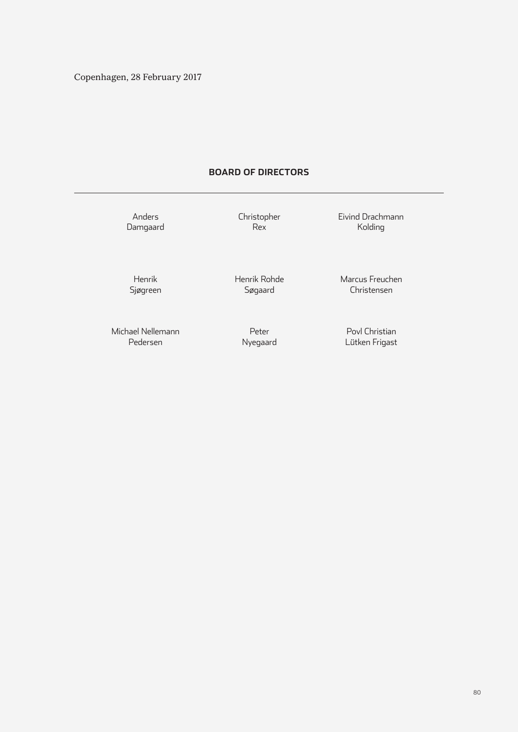### **BOARD OF DIRECTORS**

Anders Damgaard Christopher Rex

Eivind Drachmann Kolding

Henrik Sjøgreen Henrik Rohde Søgaard

Marcus Freuchen Christensen

Michael Nellemann Pedersen

Peter Nyegaard

Povl Christian Lütken Frigast